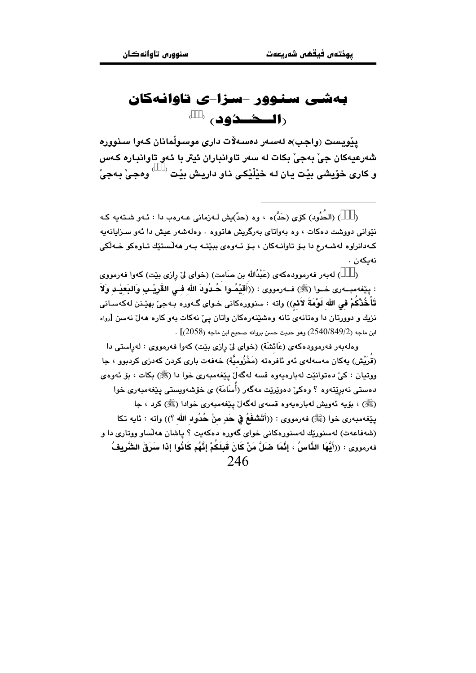## بەشى سنوور -سزا-ى تاوانەكان (المحصَّدُود) ( )

يێويست (واجب)ه لەسەر دەسەلات دارى موسىوڵمانان كەوا سنوورە شهرعيهکان جي بهجي بکات له سهر تاوانباران ئيتر با ئهو تاوانباره کهس و ڪاري خوُيشي بٽت پاڻ له خٽلُٽڪي ناو داريش بٽت <sup>( )</sup> ووڪي پهڪيٰ

) (الحُدُود) كۆي (حَدٌّ)ه ، وه (حدٌ)يش لـهزمانى عـهرهب دا : ئـهو شـتـهيه كـه نێوانی دووشت دهکات ، وه بهواتای بهرگریش هاتووه . وهلهشهر عیش دا ئهو سـزایانهیه کـهدانراوه لهشـهرع دا بـۆ تاوانـهکان ، بـۆ ئـهوهي بېێتـه بـهر ههڵستێك تـاوهکو خـهڵکي نەىكەن .

) له به ر فه رمووده که ی (عَبْدُالله بن صامت) (خوای لیّ رازی بیّت) که وا فه رمووی  $\rightarrow$ : يێغەمبەرى خـوا (ﷺ) فــەرمورى : ((أَقَيْمُـوا حُـدُودَ الله فـى القَرِيْـبِ وَالبَعيْـد وَلاَ تَأَخُذْكُمْ في الله لَوْمَةَ لاَئم)) واته : سنوورهكاني خـواي گـهوره بـهجيّ بهێـنن لهكهسـاني نزیك و دوورتان دا وهتانهى تانه وهشێنهرهكان واتان ییّ نهكات بهو كاره ههلٌ نهسن [رواه ابن ماجه (2540/849/2) وهو حديث حسن بروانه صحيح ابن ماجه (2058)] .

وهلهبهر فهرموودهکهي (عَائِشَة) (خواي ليّ رازي بِيّت) کهوا فهرمووي : لهراستي دا (قُرِيْش) بەكان مەسەلەي ئەو ئاڧرەتە (مَخْزُومِيَّة) خەڧەت بارى كردن كەدزى كردېوو › جا ووتيان : کې ده توانتت له باره به وه قسه لهگهل پنغه ميه ري خوا دا (ﷺ) بکات ، يۆ ئەوەي دەستى نەبرێتەوە ؟ وەكى ّدەوێرێت مەگەر (أُسَامَة) ي خۆشەوپستى بێغەمبەرى خوا (ﷺ) ، بۆيە ئەويش لەبارەيەوە قسەي لەگەلْ يێغەمبەرى خوادا (ﷺ) كرد ، جا ينِغهمبهري خوا (ﷺ) فهرمووي : ((أَتَشْفَعُ فِي حَدِ مِنْ حُدُودِ الله ؟)) واته : ئايه تكا (شەفاعەت) لەسنورىيك لەسنورەكانى خواي گەورە دەكەبت ؟ ياشان ھەلساو ووتارى دا و فەرمورى : ((أَيُّهَا الذَّاسُ ، إِنَّمَا ضَلَّ مَنْ كَانَ قَبِلَكُمْ إِنَّهُم كَاذُوا إِذا سَرَقَ الشَّرِيفُ 246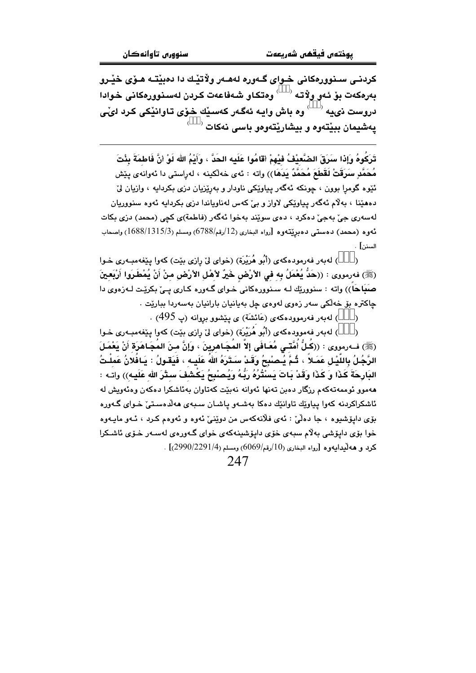کردنے، سنوورہکانی خلوای گلەررە لەھلەر ولاتٽك دا دەبٽتـه ھـۆي خٽـرو بەرەكەت بۆ ئەو ولاتە <sup>( \_\_)</sup> وەتكاو شەفاعەت كردن لەسنوورەكانى خوادا دروست ذي په <sup>( \_\_)</sup> وه باش وايه ئهگهر كهسبيّك خوّي تاوانيّكي كرد ليّي  $^\circ$  پهشیمان بېيْتەوه و بېشارێتەوەو باسى نەكات

تَرَكُوهُ وَإِذا سَرَقَ الضَّعيْفُ فَيْهِمْ أقَامُوا عَلَيه الحَدُّ ، وَأَئِمُ الله لَوْ أَنَّ فَاطمَةَ بِئْتَ مُحَمَّدِ سَرَقَتْ لَقَطَعَ مُحَمَّدٌ يَدَهَا)) واته : ئەي خەلكينە ، لەراستى دا ئەوانەي يێش ئێوه گومرا بوون ، چونکه ئهگەر پیاوێکی ناودار و بەرێزیان دزی بکردایه ، وازیان لێ دههێنا ، بهلام ئهگەر پياوێِکی لاواز و بیِّ کهس لهناوياندا دزی بکردايه ئهوه سنووريان لەسەرى جىّ بەجىّ دەكرد ، دەي سوي٘ند بەخوا ئەگەر (فاطمة)ى كچى (محمد) دزى بكات ئەوە (محمد) دەستى دەبرێتەوە [رواە البخارى (12/رقم/6788) ومسلم (1315/3) واصحاب السنن] .

) لهبهر فهرمودهكهي (أَبُو هُرَيْرة) (خواي لِيّ رازي بيّت) كهوا بيّغهمبـهري خـوا  $\lambda$ (ﷺ) فەرمورى : ((حَدُّ يُعْمَلُ بِه في الأرْضِ خَيْرٌ لأهْل الأرْضِ منْ أَنْ يُمْطَـرَوا أَرْبَعـينَ صَبَاحَاً)) واته : سنوورێك لـه سـنوورهكانى خـواى گـهوره كـارى يـىٰ بكرێـت لـهزهوى دا چاکتره بۆ خەلكى سەر زەوى لەوەي چل بەيانيان بارانيان بەسەردا ببارێت .

) لەبەر فەرموودەكەي (عَائشَة) ي يَيْشوو بروانە (پ 495) .

) لهبهر فهموودهكهي (أَبُو هُرَيْرَة) (خواي لِيّ رازي بيّت) كهوا ييّغهمبـهري خـوا  $\lambda$ (ﷺ) فــه(بمووى : ((كُـلُّ أُمَّتـّـى مُعَـافَى إلاَّ المُجَـاهرِينَ ، وَإِنَّ مـنَ المُجَـاهَرَة أَنْ يَعْمَـلَ الرَّجُلُ بِاللَّيْـلِ عَمَـلاً ، ثُـمَّ يُـْصنْبِحُ وَقَـدْ سَـتَرَهُ اللهُ عَلَيـه ، فَيَقـولُ : يَـافُلانُ عَمِلْـتُ .<br>الدَّارِحَةَ كَذَا ۖ وَ كَذَا وَقَدْ بَاتَ يَسَنَّثُرُهُ رَبُّهُ وَيُصنْبِحُ يَكْشَفَ سئلٌرَ اللهِ عَلَيهِ)) واتـه : ههموو ئوممهتهکهم رزگار دهين تهنها ئهوانه نهيئت کهتاوان بهئاشکرا دهکهن وهئهويش له ئاشکراکردنه کهوا پیاوێك تاوانێك دهکا بهشـهو پاشـان سـبهى ههڵدهسـتیٚ خـواى گـهوره بۆي دايۆشيوه ، جا دەلىّ : ئەي فلانەكەس من دوێنى ئەوە و ئەوەم كـرد ، ئـەو مايـەوە خوا يۆي دايۆشى بەلام سېەي خۆي دايۆشىنەكەي خواي گەورەي لەسەر خۆي ئاشكرا  $[2990/2291/4]$ كرد و هەلىدابەورە [رواه البخارى (10/رقم/6069) ومسلم (2990/2291/4)]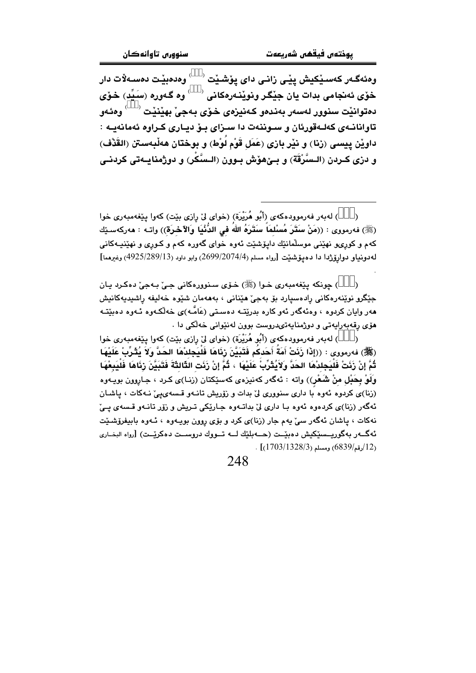وەئەگـەر كەسـێكيش پێـى زانـى داى يۆشـێت $\mathbb{C}^{\times}$ وەدەبێـت دەسـەلات دار خۆي ئەنجامى بدات يان جێِگر ونوێنەرەكانى ` \_ ′ وە گەورە (سَيِّد) خۆي دهتوانٽت سنوور لهسهر بهندهو ڪهنيزمي خوّي بهجيٰ بهٽنٽت <sup>( )</sup> وهئهو تاوانانـهي كهلـهقورئان و سـوننهت دا سـزاي بـۆ ديـاري كـراوه ئهمانهيـه : داويْن ييسى (زنا) و نيْر بازي (عَمَل قَوْم لُوْط) و بوختان هەلْبەستن (القَرْف) و دزي كـردن (الـسَّرْقَة) و بــێهوٚش بــوون (الـسَّكْر) و دوژمنايــهتي كردنــي

) لهبهر فهرموودهكهي (أَبُو هُرَيْرَة) (خواي ليّ رازي بيّت) كهوا ييّغهمبهري خوا  $\lambda$ (ﷺ) فه رمووى : ((مَنْ سَتَرَ مُسْلمَاً سَتَرَهُ الله في الدُّنْيَا وَالآخرَة)) واتـه : ههركهسـێك کهم و کورۍو نهێنی موسلٌمانێك دايۆشێت ئهوه خوای گهوره کهم و کـوری و نهێنيـهکانی لەدونياو دوارۆژدا دا دەيۆشنت [رواه مسلم (2699/2074/4) وابو داود (399/289/13) وغيرهما]

) جونکه پٽغهمبهري خوا (ﷺ) خروي سنوورهکاني جي په جي دهکرد پان جێگرو نوێنەرەكانى رادەسيارد بۆ بەجىٚ ھێنانى ، بەھەمان شێوە خەليفە راشيديەكانيش هەر وايان كردوه ، وەئەگەر ئەو كارە بدرێتـه دەسـتى (عَامَّـه)ى خەلكـەوە ئـەوە دەبێتـە مۆی رقەبەرايەتى و دوژمنايەتىدروست بوون لەنێوانى خەلكى دا .

) لەبەر فەرموودەكەي (أَبُو هُرَيْرَة) (خواي لِيْ رازِي بِيْت) كەوا يێغەمبەرى خوا  $\lambda$ (ﷺ) فەرمورى : ((إِذَا زَنَتْ أُمَةَ أَحَدكُم فَتَبَيَّنَ رَنَاهَا فَلَيَجِلدْهَا الحَدَّ وَلاَ يُثْرِّبْ عَلَيْهَا ثُمَّ إِنْ زَنَتْ فَلْيَجِلدْهَا الحَدَّ وَلاَيُثَرِّبْ عَلَيْهَا ، ثُمَّ إِنْ زَنَت الثَّالثَةَ فَتَبَيَّنَ زنَاهَا فَلْيَبِعْهَا وَلَوْ بِحَبْلِ منْ شَعْرٍ)) واته : ئەگەر كەنپزەي كەسێكتان (زنـا)ى كـرد ، جـاروون بويـەوە (زنا)ی کردوه ئهوه با داری سنووری لی بدات و زوّریش تانهو قسه ی پی نهکات ، پاشان ئهگەر (زنا)ى كردەوە ئەوە با دارى لى بداتـەوە جـارێكى تـریش و زۆر تانـەو قـسەى پـىّ نهکات ، پاشان ئەگەر سىّ يەم جار (زنا)ى كرد و بۆى روون بويـەوە ، ئـەوە بابيفرۆشىيّت ئەگـــەر بەگوريـــسێکيش دەبێــت (ھـــەبلێك لـــە تـــووك دروســـت دەكرێــت) [رواه البخــارى  $(1703/1328/3)$ رقم) $(6839/12)$  .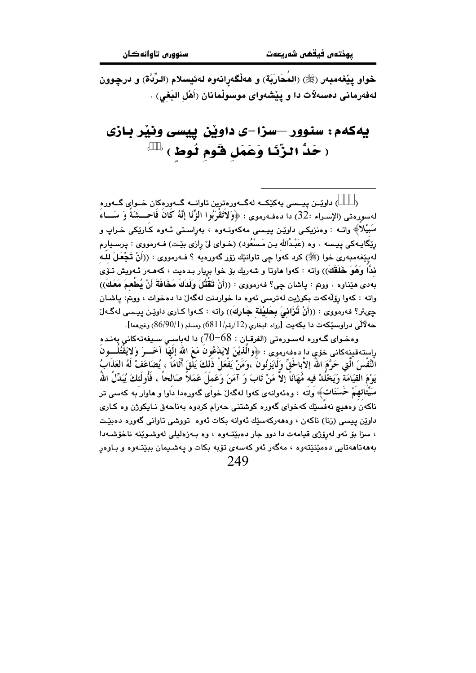خواو يێغەمبەر (ﷺ) (المُحَارَبَة) و هەڵگەرانەوە لەئيسلام (الرِّدَّة) و درچوون لەفەرمانى دەسەلات دا و يێشەواي موسوڵمانان (أَهْل البَغى) .

# يهكهم: سنوور –سزا–ی داوێن پيسی ونێر بـازی ( حَدٌّ الزَّنَـا وَعَمَل قَوم لُوط) (

) داویّــن پیــسی بهکێکــه لهگــهورهترین تاوانــه گــهورهکان خــوای گــهوره لهسورهتي (الإسـراء :32) دا دهفـهرموي : ﴿وَلاَتَقْرَبُوا الزِّنَا إِنَّهُ كَانَ فَاحـــشَةً وَ سَـــاءَ سَبيْلاَ﴾ واتــه : وهنزيكـي داوێـِن پيـسي مهكهونــهوه ، بهرِاسـتي ئــهوه كـارێِكي خـراپ و ريّگايـهكي پيـسه . وه (عَبْـدُالله بـن مَـسْعُود) (خـواي ليّ رازي بيّـت) فـهرمووي : پرسـيارم لهپێغهمبهری خوا (ﷺ) کرد کهوا چی تاوانێك زۆر گهورميه ؟ فـهرمووی : ((أَنْ تَجْعَلَ لِلْـهِ ندًّا وَهُوَ خَلَقَكَ)) واته : كەوا ماوتا و شەريك بۆ خوا بريار بـدەيت ، كەمـەر ئـەويش تـۆي بِهِدي هيِّناوه . ووتم : ياشان جي؟ فهرمووي : ((أَنْ قَقْتُلَ وَلَدَكَ مَخَافَةَ أَنْ يُطْعِمَ مَعَكَ)) واته : كهوا رۆلّەكەت بكوژيت لەترسى ئەوە دا خواردنت لەگەلّ دا دەخوات ، ووتم: ياشـان چىتر؟ فەرمووى : ((أَنْ تُزَانىَ بِحَليْلَة جَارِكَ)) واتە : كـەوا كـارى داوێن پيـسى لەگـەلّ حه لْآلْي دراوسنگهت دا بكهيت [رواه البخاري (12/رقم/6811) ومسلم (86/90/1) وغيرهما].

وهخـواي گـهوره لهسـورهتي (الفرقـان : 68–70) دا لهباسـي سـيفهتهكاني بهنـده راستەقىينەكانى خۆې دا دەڧەرموي : ﴿وَالَّذِيْنَ لاَيَدْعُونُ مَعَ الله إِلَٰهَا آخَـــرَ وَلاَيَقْتُلُـــونُ النَّفْسَ الَّتِي حَرَّمَ اللَّهَ إِلاَّبالَحْقِّ وَلَايَزِنُونَ ،وَمَنْ يَفْعَلْ ذَلكَ يَلْقَ أَثَامَاً ، يُضَاعَفْ لَهُ العَذَابُ يَوْمَ القِيَامَة وَيَخْلُدْ فيه مُّهَانَاً إلاَّ مَنْ تَابَ وَ آمَنَ وَعَمَلَ عَمَلاً صَالحاً ، فَأُولَئكَ يُبَدِّلُ اللهُ سَيِّئاتهمْ حَسَنَات﴾ واته : وهئهوانهي كهوا لهگهلٌ خواي گهورهدا داوا و هاوار به كهسي تر ناکەن وەھيچ نەفسێك کەخواي گەورە كوشتني حەرام كردوە بەناحەق نـايكوژن وە كـارى داوێن پیسی (زنا) ناکەن ، وەھەرکەسێك ئەوانە بکات ئەوە تووشى تاوانى گەورە دەبێت ، سزا بۆ ئەو لەرۆژى قيامەت دا دوو جار دەبێتەوە ، وە بەزەليلى لەوشىوێنە ناخۆشـەدا بهههتاههتایی دهمێنێتهوه ، مهگهر ئهو کهسهی تۆبه بکات و پهشـیمان ببێتـهوه و بـاوهرِ 249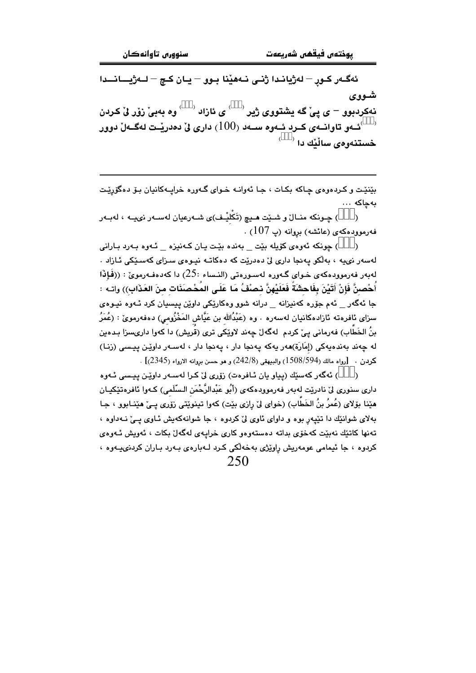ئەگـەر كـور – لەژيانـدا ژنـى نـەھێنا بـوو – يـان كـچ – لــەژيـــانـــدا شووى نهکردبوو – ي ييٌّ گه يشتووي ژير <sup>( \_\_)</sup> ي ئازاد <sup>( \_\_)</sup> وه بهبيٌّ زوّر ليٌّ کردن ئــهو تاوانــهي كــرد ئــهوه ســهد (100) دارى ليّ دهدريّــت لـهگــهلّ دوور ``  $^\circ$ خستنەومى ساڵێك دا

بێنێت و کردهوهي چاکه بکات ، جا ئهوانـه خـواي گـهوره خرايـهکانيان بـۆ دهگۆرێـت بەچاكە ...

) چـونکه منــالٌ و شــێت هــدِچ (تَكْليْــف)ى شــهرعيان لهســهر نىيــه ، لهبـهر  $\lambda$ فەرموۋدەكەي (عائشە) بروانە (پ $\sim (107)$  .

) چونکه ئەوەي کۆيلە بێت \_ بەندە بێت يان کەنیزە \_ ئـەوە بـەرد بـارانى  $\lambda$ لەسەر نىيە ، بەلكو پەنجا دارى لىْ دەدريْت كە دەكاتـە نيـوەي سىزاي كەسـێكى ئـازاد . لەبەر فەرموودەكەي خـواي گـەورە لەسـورەتى (النـساء :25) دا كەدەفـەرموئ : ((فَإِذَا أُحْصنَّ فَإِنْ أَتَيْنَ بِفَاحشَةً فَعَلَيْهِنَّ نصْفُ مَا عَلَى المُحْصِنَات منَ العَذَابِ)) واتـه : جا ئەگەر \_ ئەم جۆرە كەنيزانە \_ درانە شوو وەكارێكى داوێن ييسيان كرد ئـەوە نيـوەي سزای ئافرەتە ئازادەكانيان لەسەرە . وە (عَبْدُالله بن عَيَّاش المَخْزُومى) دەڧەرموێ : (عُمَرُ بنُ الخَطابِ) فەرمانى يـيْ كردم لەگەلْ چەند لاوێكى ترى (قريش) دا كەوا دارىسزا بـدەين له جەند پەندەپەكى (إمَارَة)ھەر پەكە پەنجا دار ، پەنجا دار ، لەسبەر داويْن پېيسى (زنيا)  $[$ كردن . [رواه مالك (594/594) والبيهقي (242/8) و هو حسن بروانه الارواء (2345)]

) ئەگەر كەسێك (يياو يان ئـافرەت) زۆرى لىْ كـرا لەسـەر داوێـن ييـسى ئـەوە  $\lambda$ داري سنوري ليّ نادريّت لهبهر فهرموودهكهي (أَبُو عَبْدالرَّحْمَنِ السّلَمي) كـهوا ئافرهتێكيـان هێنا بۆلای (عُمرُ بنُ الخَطَّابِ) (خوای ليّ رازی بێت) کهوا تینوێتی زوّری یـیّ هێنـابوو ، جـا بهلای شوانێك دا تێپەر بوه و داوای ئاوی ليّ كردوه ، جا شوانەكەپش ئـاوی يــيّ نــهداوه ، تەنھا كاتٽك نەبێت كەخۆي بداتە دەستەرەر كارى خرابيەي لەگەل بكات ، ئەرىش ئىەرەي کردوه ، جا ئیمامی عومهریش رِاوێژی بهخهڵکی کرد لـهبارهی بـهرد بـاران کردنی،پـهوه ، 250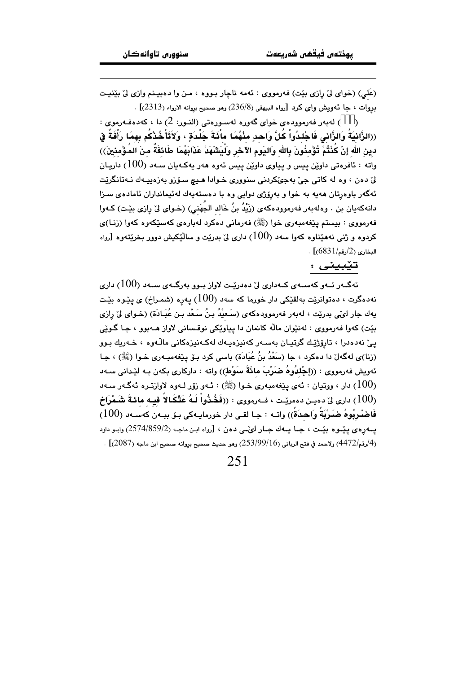(عَلَمِ) (خواي ليِّ رازي بيِّت) فهرمووي : ئهمه ناچار بـووه ، مـن وا دهبيـنم وازي ليِّ بيِّنيـت بروات ، جا ئەويش واي كرد [رواه البيهقى (236/8) وهو صحيح بروانه الارواء (2313)] .

) لەبەر فەرموودەي خواي گەورە لەسىورەتى (النبور: 2) دا ، كەدەفبەرموي :  $\lambda$ ((الزَّانِيَةُ وَالزَّانِي فَاجْلِدُواْ كُلَّ وَاحِدِ مِنْهُمَا مِائَةَ جَلْدَة ، وَلاَتَأْخُذْكُم بهمَا رَأْفَةً في دين الله إنْ كُنْتُمْ تُؤْمِنُونَ بِالله وَاليَوم الآخر ولْيَشْهَدْ عَذَابَهُمَا طَائفَةٌ منَ المُؤْمنينَ)) واته : ئافروتی داوێن پیس و پیاوی داوێن پیس ئەوھ ھەر پەکـەپان سـەد (100) داریـان ليّ دون ، وه له کاتي جيّ پهجيّکردني سنووري خـوادا هـيـ۾ سـوّزو پهزوبيـهك نـه-تانگريّت ئەگەر باوەرتان ھەيە بە خوا و بەرۆژى دوايى وە با دەستەيەك لەئيمانداران ئامادەي سىزا دانهڪهبان بن ، و.ملهبهر فهرمووڊهڪهي (زَيْدُ بنُ خَالد الجُهَني) (خـواِي لِيّ رازي بيّـت) ڪـهوا فهرمووي : بيستم يَيْغهمبهري خوا (ﷺ) فهرماني دهكرد لهبارهي كهسێكهوه كهوا (زنـا)ي کردوه و ژنی نههێناوه کهوا سهد ( $100$ ) داری لیّ بدریّت و سالٌٽِکيش دووړ بخریّتهوه [رواه  $.$  [(6831/می) (2/دقم)]

#### تێبینی :

ئەگــەر ئــەو كەســەي كــەدارى لىّ دەدريّــت لاواز سوو بەرگــەي ســەد (100) دارى نه $\epsilon$ دهگرت $\epsilon$  دهتوانرێت بهلقێکی دار خورما که سهد  $(100)$  پهرِه (شمـراخ) ی پێـوه بێـت يهك جار لوێي بدرێت ، لهبهر فهرموودهكهي (سَعيْدُ بنُ سَعْد بن عُبَـادَة) (خـواي ليّ رازي بێت) کهوا فهرمووي : لهنێوان ماله کانمان دا پياوێکي نوقساني لاواز هــهبوو ، جـا گـوێي يئ نەدەدرا ، تارۆژێك گرتيـان بەسـەر كەنيزەيـەك لەكـەنيزەكانى ماڵـەرە ، خـەريك بـور (زنا)ی لهگهلٚ دا دهکرد ، جا (سَعْدُ بنُ عُبَادَة) باسی کرد بـۆ پـێِغهمبـهری خـوا (ﷺ) ، جـا ئەويش فەرمووى : ((إجْلدُوهُ ضَبَرْبَ مائَةَ سَوْطٍ)) واتە : داركارى بكەن بـە لێدانى سـەد رار ، ووتيان : ئەي يێغەمبەرى خىوا (ﷺ) : ئــهو زۆر لــهوه لاوازتــرە ئـهگــهر ســهد  $(100)$ الري ليّ دهيـن دهمريّـت ، فــهرمووي : ((فَخُذُواْ لَـهُ عَتْكَـالاً فيـه مائـةَ شَـمْرَاخ ( $100$ فَاصْنُرِبُوهُ صَـَرْبَةً وَاحـدَةً)) واتـه : جـا لقـى دار خورمايـهكى بـوّ ببـهن كهسـهد (100) پــهورهي پێــوه بێــت ، جــا يــهك جــار لوێــي دهن ، [رواه ابـن ماجـه (2/359/2) وابـو داود . [4/رقم/4472) ولاحمد في فتح الرباني (253/99/16) وهو حديث صحيح بروانه صحيح ابن ماجه (2087)] .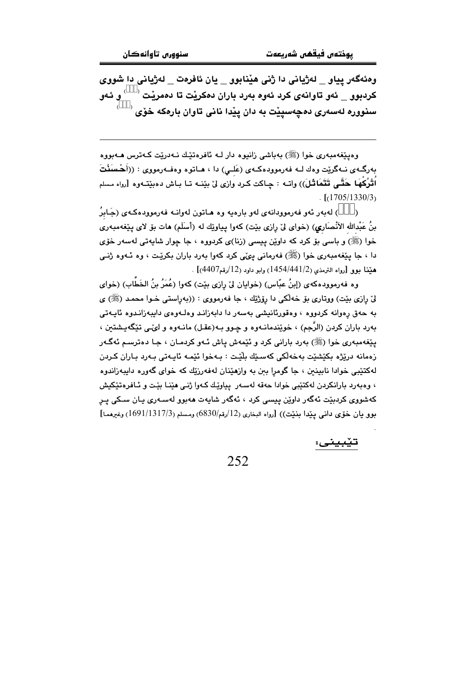وهئهگەر پياو \_ لەژيانى دا ژنى هێنابوو \_ يان ئافرەت \_ لەژيانى دا شووى كردبوو \_ ئەو تاوانەي كرد ئەوە بەرد باران دەكريْت تا دەمريْت  $\langle\quad\rangle$ و ئەو سنووره لهسهری دهچهسپیّت به دان ییّدا نانی تاوان بارهکه خوّی <sup>(</sup>

وهيێغەمبەرى خوا (ﷺ) بەياشى زانيوه دار لـه ئافرەتێك نـەدرێت كـەترس ھـەبووە بەرگــەى نــەگرێت وەك لــە فەرموودەكــەى (عَلــى) دا ، ھــاتوە وەفــەرمووى : ((أَحْسَنُكَ اُقْرُكُهَا حَقَّى تَتَمَاثَـلَ)) واتــه : چـاكت كـرد وازى لىٰ بيْنــه تــا بـاش دهبيّنـّـهوه [رواه مسلم  $\cdot$  [(1705/1330/3)

) لەبەر ئەو فەرموودانەي لەو بارەيە وە ھـاتون لەوانـە فەرموودەكـەي (جَـابِرُ  $\lambda$ بنُ عَبْدالله الأنْصَاري) (خواي ليْ رازي بيْت) كهوا يياويْك له (أسلَم) هات بوْ لاي يـيْغهمبهري خوا (ﷺ) و باسی بۆ کرد که داوێن پیسی (زنا)ی کردووه ، جا چوار شاپهتی لهسهر خۆی دا ، جا پێغەمبەرى خوا (ﷺ) فەرمانى يىْيى كرد كەوا بەرد باران بكرێت ، وە ئـەوە ژنـى هيِّنا بوو [رواه الترمذي (1441/2/1454) وابو داود (12/رقم4407)] .

وه فهرموودهكهى (إبنُ عبّاس) (خوايان ليّ رازي بيّت) كهوا (عُمَرُ بنُ الخَطَّابِ) (خواي ليّ رازي بيّت) ووتاري بوّ خهڵكي دا روّژيّك ، جا فهرمووي : ((بهراستي خـوا محمـد (ﷺ) ي به حەق رەوانە كردووە ، وەقورئانىشى بەسەر دا دابەزانىد وەلــەوەي دايبەزانىدوە ئايــەتى بهرد باران كردن (الرَّجم) ، خوێندمانــهوه و چـوو بــه(عقـل) مانــهوه و لـيٌــي تێگهپـشتين ، يٽِغەمبەرى خوا (ﷺ) بەرد بارانى كرد و ئێمەش ياش ئـەو كردمـان ، جـا دەترسـم ئەگـەر زەمانە دريْژە بِكَيْشَيْت بەخەلْكى كەسىيْك بِلْيْت : بـەخوا ئَيْمـە ئايـەتى بـەرد بـاران كـردن لهکتێبي خوادا نابينين ، جا گومرا ببن به وازهێنان لهفهرزێك كه خواي گهوره دايبهزاندوه ، وەبەرد بارانكردن لەكتێبى خوادا حەقە لەسەر يياوێك كـەوا ژنـى ھێنـا بێت و ئـافرەتێكيش کەشورى کردېيٽ ئەگەر داويْن يېسى کرد ، ئەگەر شايەت ھەبور لەسـەرى يـان سـكى يـر بوو بان خوّى دانى يندا بنيّت)) [رواه البخارى (12/رقم/6830) ومسلم (1511/1317/3) وغيرهما]

تێبيني: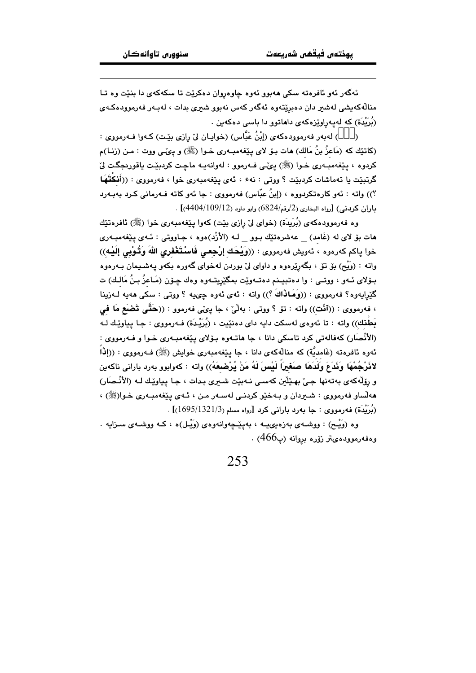ئهگەر ئەو ئافرەتە سكى ھەبور ئەوە جاوەروان دەكرێت تا سكەكەي دا بنێت وە تـا منالهکەيشى لەشىر دان دەبريتەوە ئەگەر كەس نەبوو شىرى بدات ، لەبـەر فەرموودەكـەي (بُرَيْدَة) که لهپهراوێزەکەی داھاتوو دا باسی دەکەبن .

) لهبهر فهرموودهكهي (إِنْنُ عَبَّاس) (خوابـان لِيّ رازي بِيّت) كـهوا فـهرمووي :  $\lambda$ (كاتێك كه (مَاعزُ بنُ مَالك) هات بـۆ لاى پـێغەمبـەرى خـوا (ﷺ) و پـئ\_ى ووت : مـن (زنـا)م كردوه ، يێغەمبەرى خـوا (ﷺ) يېڭى فـەرموو : لەوانەيـە ماڃـت كردېيّـت ياقورنجگـت ليّ گرتيٽت يا تهماشات كرديٽت ؟ ووتي : نهءَ ، ئهي پٽغهمبهري خول ، فهرمووي : ((أَنكَتَهَا ؟)) واته : ئەو كارەتكرېووه ، (إينُ عبّاس) فەرمووى : جا ئەو كاتە فـەرمانى كـرېـ بەبـەربـ  $\left[ (4404/109/12) \right]$ . داران کردنس)  $\left[ (4404/109/12) \right]$  .

وه فەرموودەكەي (بُرِيدَة) (خواي ليْ رازي بِيْت) كەوا يِيْغەمبەرى خوا (ﷺ) ئافرەتێك هات بۆ لای له (غَامد) معهشرهتێك بـوو لــه (الأزْد)هوه ، جـاووتى : ئــهى يـێغهمبــهرى خوا ياكم كەرەوە ، ئەويش فەرمووى : ((وَيْحَك إِرْجِعي فَاسْتَغْفِرِي اللهَ وَتُوْبِي إِلَيْـهِ)) واته : (وَیْم) بۆ تۆ ، بگەرێرەوە و داوای لیٌ بوردن لەخوای گەورە بکەو پەشىيمان بـەرەوە بِـۆلای ئـهو ، ووتــي : وا دەتبيـنم دەتــهوێت بمگێریتـهوه وەك چـۆن (مَـاعزُ بـِنُ مَالـك) ت گێرايەوە؟ فەرمووى : ((وَهَـاٰذَاكَ ؟)) واتە : ئەي ئەوە چىميە ؟ ووتى : سكى ھەيە لــەزينا ، فەرمووى : ((ٱنْت)) واتە : تۆ ؟ ووتى : بەلْيٌ ، جا پىيٌى فەرموو : ((حَتَّى تَضَعَع مَا فَى بَطَّنك)) واته : تا ئەوەي لەسكت دايە داي دەنێيت ، (بُريِّدَة) فـەرمووي : جـا يياوێـك لـه (الأنْصَار) كەفالەتى كرد تاسكى دانا ، جا ھاتـەوە بـۆلاي يـێغەمبـەرى خـوا و فـەرمووى : ئەوە ئافرەتە (غَامديَّة) كە منالەكەي دانا ، جا يێغەمبەرى خواپش (ﷺ) فـەرمووى : ((إِذَا لاَنَرْجُمْهَا وَنَدَعَ وَلَدَهَا صَغَيْرَاً لَيْسَ لَهُ مَنْ يُرْضِعَهُ)) واته : كەوابوو بەرد بارانى ناكەين و رۆلّەكەي بەتەنھا جىيْ بھێڵين كەسىي نـەبێت شـيرى بـدات ، جـا پياوێك لـه (الأنْـصَار) مهلّساو فهرمووی : شـیردان و بـهخێو کردنـی لهسـهر مـن ، ئـهى پێغهمبـهرى خـوا(ﷺ) ، (بُرَيْدَة) فەرمووى : جا بەرد بارانى كرد [رواه مسلم (1595/1321/3)] .

وه (وَيْـح) : ووشـهي بهزهيږيــه ، بهيێـڃهوانهوهي (وَيْـل)ه ، کـه ووشـهي سـزايه . وەفەرموۋدەيتر زۆرە بروانە (پ $466$ ) .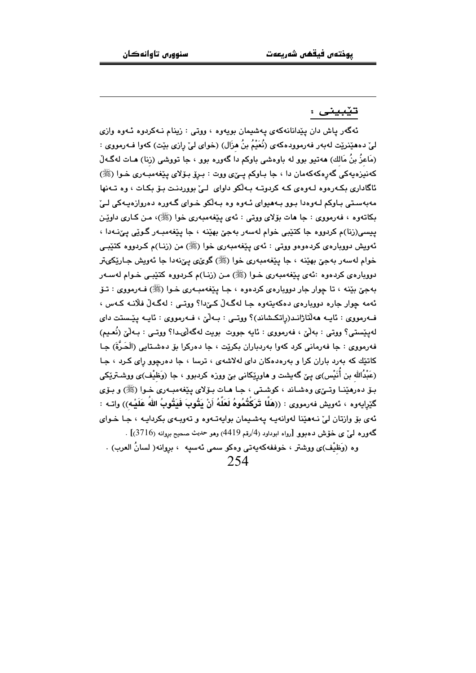#### تيْبينى :

ئهگەر ياش دان يێدانانەكەي يەشىمان بويەوە ، ووتى : زينام نـەكردوە ئـەوە وازى ليٰ دههێنرێت لهبهر فهرموودهکهي (نُعَيْمُ بنُ هزَال) (خواي ليٰ رازي بێت) کهوا فـهرمووي : (مَاعزُ بنُ مَالك) هەتپو بوو لە باوەشى باوكم دا گەورە بوو ، جا تووشى (زنا) هـات لەگـەلْ كەنيزەيەكى گەرەكەكەمان دا ، جا بـاوكم يـێى ووت : بـرۆ بـۆلاي يـێغەمبـەرى خـوا (ﷺ) ئاگاداری بکـهرهوه لـهوهي کـه کردوتـه بـهالکو داوای لـیٰ بووردنـت بـوّ بکـات ، وه تـهنها مەبەستى باوكم لـەوەدا بـوو بـەھيواى ئـەوە وە بـەلكو خـواى گـەورە دەروازەيـەكى لـىّ بکاتهوه ، فهرمووي : جا هات بۆلاي ووتي : ئەي پێغهمبەري خوا (ﷺ)، مـن کـاري داوێـن ييسي(رنا)م کردووه جا کٽٽِبي خوام لهسهر بهجيؒ بهٽِنه ، جا پٽِغهمبـهر گـوٽِي پيَ نـهدا ، ئەويش دووبارەي كردەوەو ووتى : ئەي يێغەمبەرى خوا (ﷺ) من (زنـا)م كـردووە كتێبـي خوام لهسهر بهجيّ بهێنه ، جا يێغهمبهري خوا (ﷺ) گويّءي پيّنهدا جا ئهويش جـارێِکيتر دووبارهي کردهوه :ئهي پيّغهمبهري خـوا (ﷺ) مـن (زنـا)م کـردووه کتێبـي خـوام لهسـهر بهجيّ بێنه ، تا چوار جار دووبارهي کردهوه ، جـا پێغهمبـهري خـوا (ﷺ) فـهرمووي : تـۆ ئهمه جوار جاره دوويارهي دهکهيتهوه جا لهگهلٌ کےٌدا؟ ووتے : لهگهلٌ فلَّانـه کـهس ، فــهرمووي : ئايــه هـهاڵتاژانــد(راتكـشاند)؟ ووتــي : بــهاڵێ ، فــهرمووي : ئايــه يێـستت داي لەپێستى؟ ووتى : بەلْێ ، فەرمووى : ئايە جووت بويت لەگەلْىدا؟ ووتـى : بـەلْێ (نُعـيم) فهرمووي : جا فهرماني کرد کهوا پهردباران بکرێت ، جا دهرکرا پِوْ دهشتايي (الۡحَرُّةَ) جا کاتێك که بهرد باران کرا و بهرهدهکان دای لهلاشهی ، ترسا ، جا دهرچوو رای کـرد ، جـا (عَبْدُالله بن أَنَيْس)ي بـِيِّ گەبشت و ماورێِکانی بیِّ ووزه کردبوو ، جا (وَظيْف)ي ووشـترێِکي بـۆ دەرھێنـا وتـێی وەشـاند ، کوشـتی ، جـا ھـات بـۆلای بـێغەمبـەری خـوا (ﷺ) و بـۆی گێرايەوە ، ئەويش فەرمووى : ((هَلَّا تَرَكْتُمُوهُ لَعَلَّهُ أَنْ يَتُوبَ فَيَتُوبُ اللهُ عَلَيْه)) واتـه : ئهي بۆ وارتان ليّ نـههێنا لهوانهيـه پهشـيمان بوايهتـهوه و تهويـهي بكردايـه ، جـا خـواي گەورە لىيٌ ي خۆش دەبوو [رواه ابوداود (4/رقم 4419) وهو حديث صحيح بروانه (3716)] .

وه (وَظَيْف)ى ووشتر ، خوففهكهيهتي وهكو سمى ئهسيه ، بروانه( لسانُ العرب) .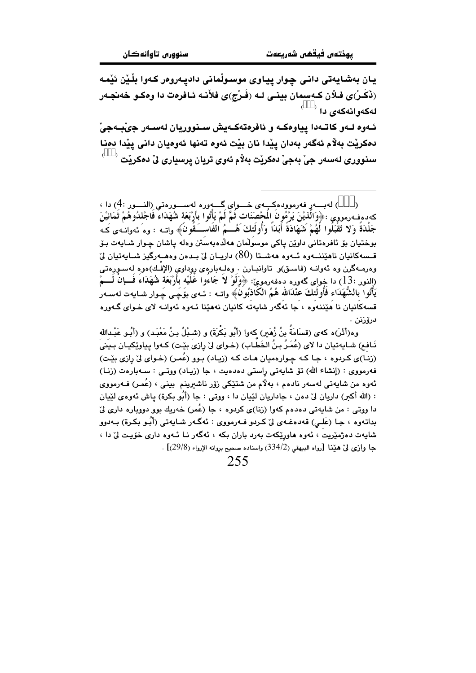يان بەشايەتى دانى چوار پياوى موسىولْمانى داديەروەر كەوا بلْيْن ئێمە (ذَكَـرْ)ى فـلأن كـهسمان بينـى لـه (فَـرْج)ى فلأنـه ئـافرەت دا وەكــو خەنجـەر لەكەوانەكەي دا <sup>(</sup>

ئـهوه لـهو كاتـهدا يياوهكـه و ئافرەتەكـهيش سـنووريان لهسـهر جيٚبـهجيّ دهكريْت بهلاّم ئەگەر بەدان يێدا نان بێت ئەوە تەنھا ئەوەيان دانى يێدا دەنا  $^{-\lambda}$  سنووري لهسهر جيّ بهجيّ دهکريّت بهلّام ئهوي تريان پرسياري ليّ دهکريّت

وه(أَثْرَ)ه كهى (قسَامَة بنُ زُمَيرٍ) كهوا (أَبُو بَكرَةَ) و (شـبْلُ بـنُ مَعْبَـد) و (أَبُـو عَبْـدالله نَـافـم) شـايەتيان دا لاي (عُمَـرُ بـنُ الخَطـابِ) (خـواي ليّ رازي بيّـت) كـهوا پياويّكيـان بـيـني (زنـا)ی کـردوه ، جـا کـه چـوارهمیان هـات کـه (زیـاد) بـوو (عُمـر) (خـوای ليّ رازی بێـت) فهرمووي : (إنشاء الله) تۆ شاپەتى راستى دەدەپت ، جا (زيـاد) ووتـى : سـەبارەت (زنـا) ئەوە من شايەتى لەسەر نادەم ، بەلام من شتێكى زۆر ناشىرىنم بىنى ، (عُمر) فـەرمووى : (الله أكبر) داريان ليٌ دهن ، جاداريان لَيْيان دا ، ووتى : جا (أَبُو بكرة) ياش ئەوەي لَيْيان دا ووتی : من شایهتی دهدهم کهوا (زنا)ی کردوه ، جا (عُمر) خهریك بوو دووباره داری ليّ بداتەوە ، جـا (عَلـي) قەدەغـەی لىٰ كـردو فـەرمووی : ئەگـەر شـايەتى (أَبـُو بكـرة) بـەدوو شايهت دهژميّريت ، ئەوه هاورپّكەت بەرد باران بكه ، ئەگەر نـا ئــەوه دارى خۆيـت لىّ دا ، جا وازى ليّ هيّنا [رواه البيهقى (334/2) واسناده صحيح بروانه الإرواء (29/8)] .

<sup>)</sup> لەبسەر فەرموودەكــــوى خــــواى گــــــوردە لەســــورەتى (النــــور :4) دا ،  $\lambda$ كەدەفەرمووى :﴿وَالَّذِيْنَ يَرْمُونَ الْمَحْصَنَات ثَمَّ لَمْ يَأْتُوا بِأَرْبَعَةِ شُهَدَاء فاجْلدُوهُمْ ثمَانيْنَ جَلْدَةً وَلا تَقْبَلُوا لَهُمْ شَهَادَةً أَبَدَاً وَأُولَٰئِكَ هُـــُمُ الْفَاســَـقُونَ﴾ واتــه : وهَ ئهوانـهى كَـه بوختيان بۆ ئافرەتانى داوێن ياكى موسوڵمان ھەڵدەبەستن وەلە ياشان چـوار شـايەت بـۆ قــسەكانيان ناھێننــەوە ئــەوە ھەشــتا (80) داريــان لى بـدەن وەھــەرگيز شــايەتيان لى وهرمـهگرن وه ئهوانــه (فاسـق)و تاوانبــارن . وهلــهبارهي روداوي (الإفــك)هوه لهسـورهتي (النور :13) دا خواي گەورە دەڧەرموێ: ﴿وَلَوْ لا جَاءوا عَلَيْه بَارْبَعَة شَهَدَاء فـــإنْ لــــمْ يَأْتُوا بالشُّهَدَاء فَأَولَئكَ عنْدَالله هُمُ الكَاذْبُونَ﴾ واتــه : ئــهى بۆَچَـى چَـوار شــايـهت لهســهر قسهکانیان نا مُیْننەوه ، جا ئەگەر شايەتە کانیان نەمیّنا ئـەوە ئەوانـە لای خـوای گـەورە درۆزنىن .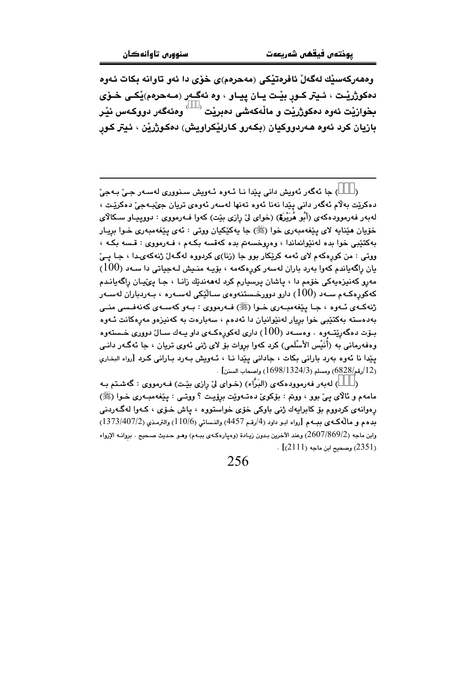وههەركەسپك لەگەلْ ئافرەتپْكى (مەحرەم)ى خۆي دا ئەو تاوانە بكات ئەوە دهکوژريٽت ، ئـيتر کــور بيّـت يــان ييــاو ، وه ئهگــهر (مــهحرهم)يْکــى خــوّى بخوازيْت ئەوە دەكوژريْت و ماڵەكەشى دەبريْت  $\langle\quadrangle$  وەئەگەر دووكـەس نيْـر بازيان کرد ئەوە ھەردووکيان (بکەرو کارلێکراويش) دەکوژرێن ، ئيتر کور

) جا ئهگەر ئەويش دانى پێدا نـا ئـەوە ئـەويش سـنوورى لەسـەر جـێ بـەجێ  $\lambda$ دهکريّت بهلاّم ئهگەر داني يێدا نەنا ئەوە تەنھا لەسەر ئەوەي تريان جىّبىەجىّ دەكريّت ، لهبهر فهرموودهکهی (أَبُو هُرَيْرَةٌ) (خوای لِیْ رِازی بیِّت) کهوا فـهرمووی : دووپیـاو سـکالای خۆيان هێنايه لاي پێغەمبەرى خوا (ﷺ) جا يەكێكيان ووتى : ئەي پێغەمبەرى خـوا بريـار بهکتێبی خوا بده لهنێوانماندا ، وهروخسهتم بده کهقسه بکهم ، فـهرمووی : قسه بکـه ، ووتي : من کورهکهم لای ئهمه کرێِکار بوو جا (زنا)ی کردووه لهگـهلٌ ژنهکهیدا ، جـا پــیٌ  $\sim (100)$ يان راگەياندم كەوا بەرد باران لەسەر كورەكەمە ، بۆيـە منـيش لـەجياتى دا سـەد مەرو كەنپزەيەكى خۆمم دا ، ياشان پرسپارم كرد لەھەندێك زانـا ، جـا يىۡيان راگەيانـدم کهکورهکـهم ســهد (100) دارو دوورخـستنهوه $\omega$  ســالَّیْکی لهســهره ، بــهردباران لهســهر ژنهکـهي ئـهوه ، جـا پێغهمبـهري خـوا (ﷺ) فـهرمووي : بـهو کهسـهي کهنهفـسي منـي بەدەستە بەكتێىي خوا بريار لەنٽوانيان دا ئەدەم ، سەبارەت بە كەنپزەو مەرەكانت ئـەوە بـۆت دەگەرێتــەوە . وەســەد (100) دارى لەكورەكــەى داو يــەك ســالٌ دوورى خــستـەوە وهفهرماني به (أُنَيْس الأَسْلَمي) كرد كهوا بروات بوّ لاي ژني ئهوي تريان ، جا ئهگـهر دانـي يێدا نا ئەوە بەرد بارانى بكات ، جادانى يێدا نـا ، ئـەويش بـەرد بـارانى كـرد [رواه البخارى . (12/رقم/6828) ومسلم (1324/3/1324) واصحاب السنن] .

) لەبەر فەرموودەكەي (البَرَّاء) (خـواي ليّ رازي بێت) فـەرمووي : گەشـتم بـە  $\lambda$ مامهم و ئالاي يئ بوو ، ووتم : بۆكوئ دەتـەوێت برۆيـت ؟ ووتـي : يێغهمبـهري خـوا (ﷺ) رهوانهي کردووم بۆ کابرايهك ژنې باوکې خۆي خواستووه ، پاش خـۆي ، کـهوا لهگـهردنې بدهم و مالّهكهي ببـهم [رواه ابـو داود (4/رقم 4457) والنـسائي (110/6) والترمذي (1373/407/2) وابن ماجه (2/007/869/2) وعند الآخرين بـدون زيـادة (وهيارهكـهي بيـهـم) وهـو حـديث صـحيح . بروانـه الإرواء . [2351) وصحيح ابن ماجه (2111)]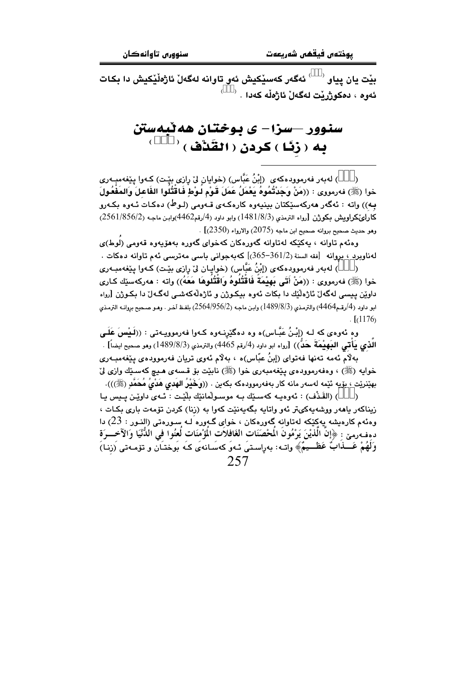بێت يان پِياو <sup>‹ د</sup> گەگەر كەسێكيش ئەو تاوانە لەگەلْ ئاژەڵێكيش دا بكات ئەوە ، دەكوژرێت لەگەلْ ئاژەڵە كەدا . <sup>‹</sup>

## سنوور –سزا– ی بوختان هه ٽبهستن به ( زِنَا ) كردن ( القَدْف )  $^\prime$

) لەبەر فەرموودەكەي(إِبْنُ عَبَّاس) (خوايان لِیْ رازی بِیْت) كـەوا يِیْغەمبـەری  $\lambda$ خوا (ﷺ) فەرمورى : ((مَنْ وَجَدْتُمُوهُ يَعْمَلُ عَمَلَ قَوْمِ لـوْطِ فَاقتَتُلوا الفَاعلَ وَالمَفْعُولَ به)) واته : ئەگەر ھەركەسێكتان بينيەوە كارەكەي قـەومى (لـوط) دەكـات ئـەوە بكـەرو كارلو،كراويش بكوژن [رواه الترمذي (1/8/3/3) وابو داود (4/رقم4462)وابن ماجه (2/856/2) (2561) وهو حديث صحيح بروانه صحيح ابن ماجه (2075) والارواء (2350)] .

وهئهم تاوانه ، بهکێکه لهتاوانه گهورهکان کهخوای گهوره بههۆپهوه قهومی (لوط)ی  $\,$ لەناوبرد ، بروانە [نقه السنة $-361/2$ 365-361)] كەبەجوانى باسى مەترسى ئەم تاوانە دەكات

) لەبەر فەرموودەكەي (إِبْنُ عَبَّاس) (خواپـان لِيْ رازى بِيْـت) كـەوا يِيْغەمبـەرى  $\lambda$ خوا (ﷺ) فەرمووى : ((مَنْ أَتَى بَهِيْمَة فَاقْتُلُوهُ وَاقْتُلُوهَا مَعَهُ)) واته : ھەركەسێك كـارى داوێن پیسی لهگهلٌ ئاژەڵێك دا بكات ئەوە بیكوژن و ئاژەڵەكەشى لەگـەلٌ دا بكـوژن [رواه ابو داود (4/رقم4464) والترمذي (3/8/98/3) وابن ماجه (2/564/956/2) بلفظ آخر . وهو صحيح بروانه الترمذي  $\lceil (1176) \rceil$ 

وه ئەوەي كە لــه (إِبْـنُ عَبَّــاس)ە وە دەگێرنــەوە كــەوا فـەرمووپــەتـى : ((لَــيْسَ عَلَــى الذي يَأتي البَهِيْمَةَ حَنَّ)) [رواه ابو داود (4/رقم 4465) والترمذي (3/8/8/3) وهو صحيح ايضاً] .

بهلّام ئەمە تەنھا فەتواى (إبنُ عبّاس)ە ، بەلّام ئەوى تريان فەرموودەى يێغەمبـەرى خوايه (ﷺ) ، وهفەرموودەي يَيْغەمبەرى خوا (ﷺ) نابيّت بۆ قىسەي ھـيچ كەسـێك وازى لىّ بهێنرێت ، بۆيە ئێمە لەسەر مانە كار بەفەرموودەكە بكەين . ((وَخَيْرُ الهُدى هَدْيُ مُحَمَّدِ (ﷺ))).

) (القَذْف) : ئەوەپ كەسىيّك بـه موسىولْمانيّك بلْيّت : ئـهى داويّن پـيس يـا زیناکهر باههر ووشهبهکیتر ئهو واتابه بگهبهنێت کهوا به (زنا) کردن تۆمهت باری بکات ، وهئهم کارهیشه پهکِیْکه لهتاوانه گهورهکان ، خواِی گهوره َلـه سـورهتی (النـور : 23) دا دهفهوميّ : ﴿إِنَّ الَّذِيْنَ يَرْمُونَ الْمَحْصَنَاتِ الْغَافِلاَتِ الْمَوّْمِنَاتِ لَعِنُوا فِي الدُّنْيَا وَالآخسرَة وَلَهُمْ عَـــذابٌ عَظـــيمٌ﴾ واتــه: بهراِسـتيَ ئــهوَ كهسَـانهءَى كـه بُوختـَان و تۆمـهتى (زنـا) 257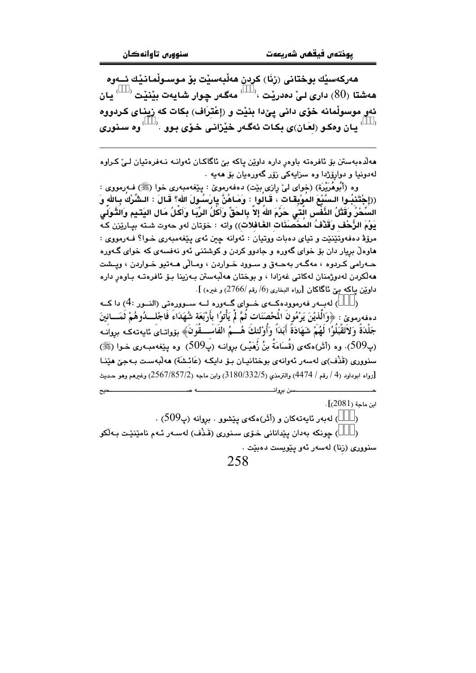هەركەسىلە بوختانى (زنَا) كردن ھەلىەسىت بۆ موسىولمانىلە ئــەوە هەشتا  $(80)$  داری لیْ دەدریْت ، $\epsilon^{(n)}$  مەگەر چوار شايەت بیْنیْت  $(80)$  يان ئهو موسولْمانه خوّي داني ييّدا بِنيّت و (إعْترَاف) بِكات كه زيناي كردووه 

هەلّدەبەستن بۆ ئافرەتە باوەر دارە داوێن ياكە بِيّ ئاگاكـان ئەوانـە نـەفرەتيان لـيّ كـراوە لهدونيا و دوارۆژدا وه سزايهكى زۆر گەورەيان بۆ ھەيە .

وه (أَبُوهُرَيْرَة) (خواي ليْ رازي بِيْت) دەفەرمويْ : يِيْغەمبەرى خوا (ﷺ) فـەرمووي : ((إِجْتَنْبُوا السَّيْعَ المُوْبِقَاتِ ۚ، قَالُوا ِ : وَمَاهُنَّ بِارَسُولَ اللهِ؟ قَالَ : الـشِّرْكَ بِاللهِ وَ السُخْرُ وَقَتْلُ النَّفْس التي حَرِّمَ الله إلا بالحَقِّ وَأَكلُ الرِّبَا وَأَكلُ مَال اليَتيم وَالتَّوَلى يَوْمَ الزُّحْفِ وَقَذْفُ المحْصنَنَات الغَافلات)) واته : خوّتان لهو حهوت شته بيـاريْزن كـه مرۆۋ دەفەوتێنێت و تياي دەبات ووتيان : ئەوانە چين ئەي يێغەمبەرى خـوا؟ فـەرمووى : هاوهڵ بریار دان بۆ خوای گەورە و جادوو کردن و کوشتنی ئەو نەفسەی کە خوای گـەورە حـهرامي کـردوه ، مهگـهر بهحـهق و سـوود خـواردن ، ومـالّي هـهتيو خـواردن ، وپــشت مەلكردن لەدوژمنان لەكاتى غەزادا ، و بوختان مەلبەستن بـەزينا بـۆ ئافرەتـە بـاوەر دارە داويْن بياكه بيّ ئاگاكان [رواه البخاري (6/ رقم /2766) و غيره) ].

) لهېــهر فهرموودهكــهى خــواى گــهوره لــه ســوورهتى (النــور :4) دا كــه دهفەرموێ : ﴿وَالَّذِيْنَ يَرْمُونَ الْمَحْصَنَات ثُمَّ لَمْ يَأْتوُا بِأَرْبَعَة شُهَدَاءَ فَاجْلـــدُوهُمْ ثَمَـــانينَ جَلْدَةً وَلاَتَقْبَلُوُا لَهُمْ شَهَادَةً أَبَدَاً وَأُوْلئكَ هُـــمُ الفَاسَـــقُونَ﴾ بۆواتـاىَ ئايەتەكـە بروانـه (پ509)، وه (أَثَر)هكهي (قُسَامَةُ بنُ زُهَبْر) بروانـه (پ509). وه بيێغهمبـهري خـوا (ﷺ) سنووري (قَذْف)ي لەسەر ئەوانەي بوختانيـان بـۆ دايكـە (عَائـشَة) ھەلبەسـت بـەجىّ ھێنـا [رواه ابوداود (4 / رقم / 4474) والترمذي (3180/332/5) وابن ماجه (2567/857/2) وغيرهم وهو حديث

 $[2081]$ اين ماجة (2081)

) لەبەر ئاپەتەكان و (أَثْر)ەكەي يێشوو . بروانە (پ509) .  $\lambda$ 

سن بروان

) جونکه پەدان پێدانانی خـۆی سـنوری (قَـدْف) لەسبەر ئـەم نامێنێت پـەڵکو  $\lambda$ سنووري (رَنا) لەسەر ئەو يێويست دەبێت ٠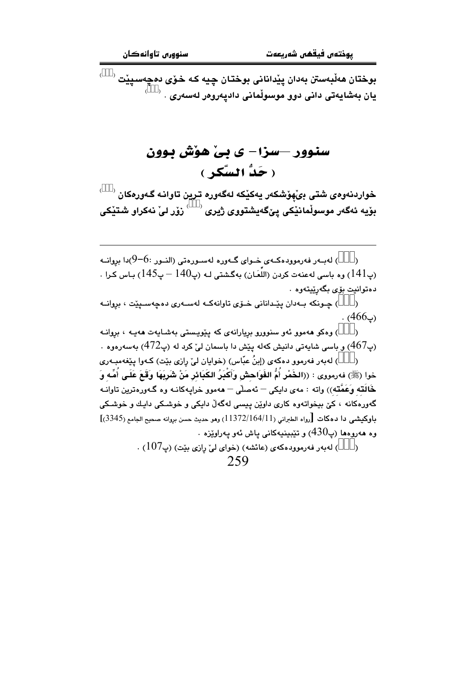بوختان ھەلبەستن بەدان پێدانانی بوختان چيە كە خۆ*ى دە*چەسيێت <sup>( \_\_)</sup> يان بەشايەتى دانى دوڧ موسوڵمانى داديەروەر لەسەرى $\,$  .  $\,$ 

## سنوور —سزا— ي بي هوش پيوون ( حَدُّ السَّكرِ )

 $\sim^{\circ}$ خواردنەوەي شتى بىُھۆشكەر يەكێكە لەگەورە ترين تاوانـە گـەورەكان  $\sim^{\circ}$ بۆيە ئەگەر موسوڵمانێكى پێگەيشتووى ژيرى  $\langle\quadrangle$ زۆر لىٚ نەكراو شتێكى

لەب ر فەرموودەكــەي خــواي گــەورە لەســورەتى (النــور :6–9)دا بروانــه (  $\lambda$ (پ141) وه باسی لهعنهت کردن (اللَّعَـان) بهگشتی لـه (پ140 – پ145) بـاس کـرا . دهتوانيت بۆى بگەرێيتەوه

) چـونکه بـهدان پێـداناني خـۆي تاوانهکـه لهسـهري دهچهسـيێت ، بروانــه  $\lambda$  $. (466)$  .

) وهکو ههموو ئهو سنوورو بږيارانهۍ که پێويستي بهشـايهت ههيـه ، بږوانـه  $\lambda$ ر (پـ467) و پاسی شابهتی دانیش کهله پیش دا پاسمان لی کرد له (پ $472$ ) پهسهرووه  $\cdot$ 

) لهبهر فهرموو دهکهي (إبنُ عبّاس) (خوايان ليّ رازي بيّت) کـهوا پيّغهمبـهري خوا (ﷺ) فەرمووى : ((الخَمْر أُمُّ الفَوَاحش وَأَكْبَرُ الكَبَائر مَنْ شَرِيَهَا وَقَعَ عَلَـى أُمِّه وَ خَالَته وَعَمَّته)) واته : مەي دابكى – ئەصلّى – ھەمور خرابيەكانـە وە گـەورەترين تاوانـە .<br>گەورەكانە ، كێ بېخواتەوە كارى داوێن يېسى لەگەڵ دايكى و خوشىكى دايـك و خوشىكى باوكيشي دا دمكات [رواه الطبراني (11/164/11) وهو حديث حسن بروانه صحيح الجامع (3345)] وه هەروۋەما (پ $430$ ) و تٽيپنيەكانى ياش ئەق پەراۋيزە .

> ) لهبهر فهرموودهكهى (عائشه) (خواى ليّ رازى بيّت) (پ107) .  $\lambda$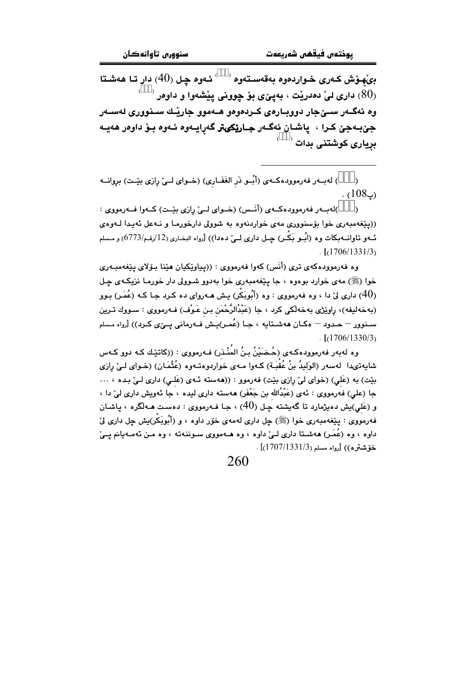بِیْهِوْش کـهری خـواردهوه بهقهسـتهوه  $\sim^{\circ}$  ئـهوه چـل (40) دار تـا ههشـتا ، داری لیْ دەدریْت ، بەییٌ $\bm{z}$  بۆ چوونی ییْشەوا و داوەر  $(80)$ وه ئەگــەر ســێجار دووبــارەی كــردەوەو ھــەموو جارێـك ســذووری لەســەر جيٰ بـهجيٰ کـرا ، ياشـان ئهگـهر جـارێکيتر گهرايـهوه ئـهوه بـوّ داوهر ههيـه بریاری کوشتنی بدات <sup>(</sup>

) لهبهر فهرمووده كهى (أبُو ذَر الغَفَارى) (خواى لميٌ رازى بيِّت) بروانه  $\lambda$  $(108)$ .

)لەببەر فەرموودەكبەي (أنس) (خىواي لىيّ رازى بێت) كىەوا فــەرمووى :  $\lambda$ ((پێغهمبەری خوا بۆسنووری مەی خواردنەوه بە شوولى دارخورمـا و نــهـعل ئـهـيـدا لــهومى ئــهو تاوانــه-بكات وه (ابُــو بَكــر) چــل داري لــيٌ دهدا)) [رواه البخـاري (12/رقـم/6773) و مـسلم  $\frac{1}{2}$ [(1706/1331/3)

وه فەرموودەكەي ترى (أَنَس) كەوا فەرمووى : ((يياوێكيان ھێنا بىۆلاي يێغەمبەرى خوا (ﷺ) مه ی خوارد بوهوه ، جا پێغهمبهری خوا بهدوو شـوولی دار خورمـا نزیکـهی چـل (40) داری لیٌ دا ، وه فهرمووی : وه (أَبُوبَكْر) پش هـهروای ده کـرد جـا کـه (عُمَـر) بـوو (بەخەليفە)، راوێژى بەخەڵكى كرد ، جا (عَبْدُالرَّحْمَن بـن عَـوْف) فـﻪرمووى : سـووك تـرين سـنوور – حـدود – مکـان ههشـتايه ، جـا (عُمـر)يـش فــهرماني يــێي کـرد)) [رواه مـسلم  $\frac{1}{2}$ [(1706/1330/3)

وه لهٻهر فهرموودهکـهي (حُـضَيْنُ بـنُ المُنْـذر) فـهرمووي : ((کاتێـك کـه دوو کـهس شايهتى،دا لەسەر (الوَليدُ بنُ عُقْبَـة) كـهوا مـهى خواردوەتـهوه (عُثْمَـان) (خـواى لــىٰ رِازى بيّت) به (عَلي) (خواى ليّ پازى بيّت) فهرموو : ((ههسته ئـهى (عَلـي) دارى لـيّ بـده ، ... جا (علي) فەرمووى : ئەي (عَبْدُالله بن جَعْفَر) ھەستە دارى ليدە ، جا ئەويش دارى ليْ دا ، و (عَلي)يش دەيژمارد تا گەيشتە چىل (40) ، جـا فــەرمووى : دەسـت ھــەلگرە ، پاشـان فه رمووی : پێغهمبه ری خوا (ﷺ) چل داری لهمهی خوّر داوه ، و (أَبُوبَكر)يش چل داری ليّ داوه ، وه (عُمَـر) هەشـتا دارى لـێ داوه ، وه هــهمووى سـوننەته ، وه مـن ئەمـەيانم يـێ خۆشترە)) [رواە مسلم(1707/1331/5] .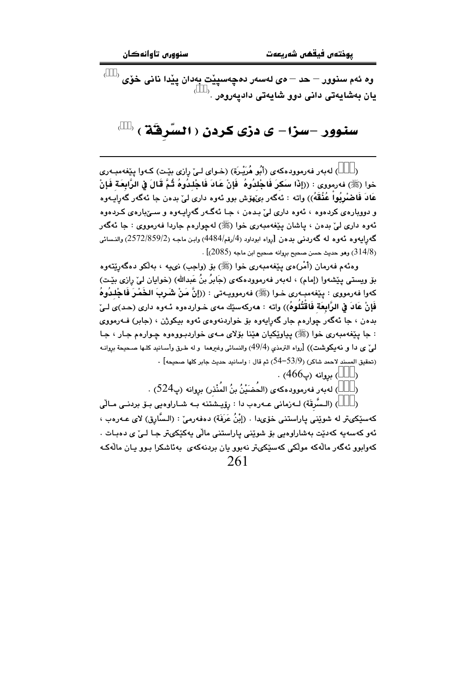وه ئهم سنوور – حد – *ەى* لەسەر دەچەسپێت بەدان پێدا نانى خۆى <sup>( )</sup>  $^{\circ}$ . يان بەشايەتى دانى دوو شايەتى داديەروەر

#### سنوور –سزا– ی دزی کردن ( السَّرِفَّة ) (

) لهبهر فهرموودهكهي (أَبُو هُرَيْرِة) (خـواي لـيِّ رازي بِيْت) كـهوا يِيْغهمبـهري  $\lambda$ خوا (ﷺ) فەرمووى : ((إِذَا سَكَرَ فَاجْلدُوهُ ۖ فَإِنْ عَادَ فَاجْلِدُوهُ ثُمَّ قَالَ فِي الرَّابِعَةِ فَإِنْ عَادَ فَاصْرِبُواْ عُذُقَهُ)) واته : ئەگەر بىِّھۆش بور ئەرە دارى لى ٘ بدەن جا ئەگەر گەراپـەرە و دووبارهۍ کردهوه ، ئەوه دارى ليّ بىدەن ، جـا ئەگـەر گەراپـەوه و سـێبارەي کـردەوه ئەوە دارى لې بدەن ، پاشان پێغەمبەرى خوا (ﷺ) لەچوارەم جاردا فەرمووى : جا ئەگەر گەراپەوە ئەوە لە گەردىنى بدەن [رواە ابوداود (4/رقم/484) وابن ماجە (2/72/859) والنسائى . (314/8) وهو حديث حسن صحيح بروانه صحيح ابن ماجه (2085)] .

وهئهم فهرمان (أَمْر)هي بِيْغهمبهري خوا (ﷺ) بِوْ (واجب) ني به ، بهڵكو دهگهريّتهوه بۆ ويستى يـێشەوا (إمام) ، لەبەر فەرموودەكەي (جَابِرُ بنُ عَبدالله) (خوايان ليِّ رازى بِيّـت) كەوا فەرمووى : يێغەمبەرى خـوا (ﷺ) فەرمووپيەتى : ((إِنَّ مَنْ شَـرِبَ الخَمْـرَ فَاجْلِـدُوهُ فَإِنْ عَادَ فِي الرَّابِعَة فَاقْتُلُوهُ)) وإنه : هەركەسێك مەي خـواردەوە ئـەوە دارى (حـد)ى لـيْ بدهن ، جا ئهگەر چوارەم جار گەرايەوە بۆ خواردنەوەي ئەوە بېكوژن ، (جابر) فـەرمووى : جا پێغهمبهري خوا (ﷺ) پياوێکيان هێنا بۆلاي مـهي خواردبـووهوه چـوارهم جـار ، جـا لمِ٬ ي دا و نه يكوشت)) [رواه الترمذي (49/4) والنسائي وغيرهما ۖ و له طـرق وأسـانيد كلـها صـحيحة بروانـه . (تحقيق المسند لاحمد شاكر) (53/9–54) ثم قال : واسانيد حديث جابر كلها صحيحه]  $\cdot$ 

> ) بروانه (پ466) .  $\lambda$

) لەبەر فەرموودەكەي (الحُضَيْنُ بنُ المُنْذر) بروانە (پ524) .  $\lambda$ 

) (الـسَّرقَة) لــهزماني عــهرهب دا : رۆيــشتنه بــه شــاراوهيي بــۆ بردنــي مــالّـي  $\lambda$ كەسێكىتر لە شوێنى ياراستنى خۆيدا . (إِبْنُ عَرَفَة) دەڧەرمى :: (الـسَّارق) لاي عـەرەب ، ئەر كەسەبە كەدٽت بەشاراۋەبى بۆ شويْنى باراستنى مالى بەكىكى»تر جـا لـى ئ دەبـات . کەراپور ئەگەر مالەکە مولّکى کەس<u>ت</u>کىتر نەپور بان پردنەکە*ي* پەئاشکرا پور بـان مالەکـە 261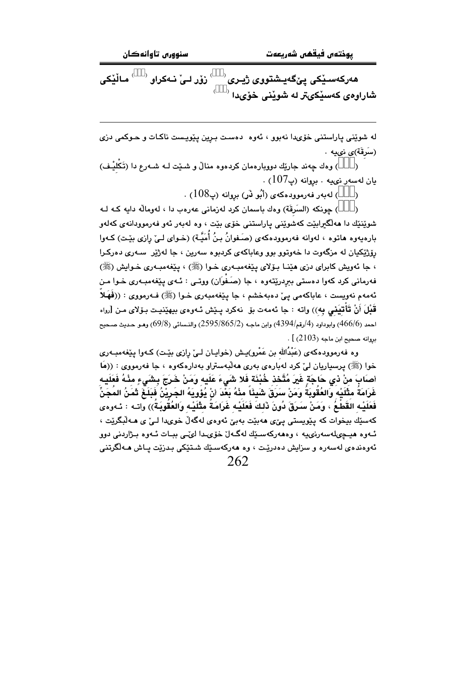$^{\circ}$ نۆر لـيْ ئـەكراق $^{\circ}$ ماڵێكى ھەركەسىيكى يېگەيىشتووى ژيىرى شاراوهي کهسێکيتر له شوێني خۆيدا <sup>(</sup>

له شوێنی پاراستنی خۆیدا نهبوو ، ئەوە دەست بىرىن پێويىست ناكـات و حـوكمى دزى (سَرقَة)*ى* نىيە .

) وهك چەند جارێك دووبارەمان كردەوە منالٌ و شـێت لــه شــەرع دا (تَكْليْـف)  $\lambda$  $\,$ يان لەسەر نىيە ، بروانە (پ $107$ ) .

> ) لەبەر فەرموۋدەكەي (أَبُو نَر) بروانە (پ $108$ ) .  $\lambda$

) چونکه (السَرقَة) وهك باسمان كرد لهزمانى عهرهب دا ، لهومالّه دايه كـه لـه  $\lambda$ شويننيك دا مەلگىرابيّت كەشويننى ياراستنى خۆي بيّت ، وه لەبەر ئەو فەرموودانەي كەلەو بارهيهوه هاتوه ، لهوانه فهرموودهكهى (صَفوانُ بنُ أُمَيَّـة) (خـواى لـيْ رازى بيّـت) كـهوا رۆژێکيان له مزگەوت دا خەوتوو بوو وعاباکەي کردېوه سەرين ، جا لەژێر سـەرى دەرکـرا ، جا ئەويش كابراي دزي ھێنـا بـۆلاي بيێغەمبـەري خـوا (ﷺ) ، بيێغەمبـەري خـوايش (ﷺ) فەرمانى كرد كەوا دەستى بېردرێتەوە ، جا (صَـفَوَان) ووتـى : ئـەي يێغەمبـەرى خـوا مـن ئەمەم نەويست ، عاباكەمى يى دەبەخشم ، جا يێغەمبەرى خـوا (ﷺ) فـەرمووى : ((فَهَلاُ قَبْلَ أَنْ تَأْتِيَنِي بِهِ)) واته : جا ئەمەت بۆ نەكرد يـێش ئـەوەي بيهێنيـت بـۆلاي مـن [رواه احمد (466/6) وابوداود (4/رقم/4394) وابن ماجـه (2595/865/2) والنـسائي (69/8) وهـو حـديث صـحيح  $\cdot$  [  $(2103)$  محمد) ابن ماجه ب

وه فەرموودەكەي (عَبْدُالله بن عَمْرو)يـش (خوايـان لـيْ رازى بێت) كـەوا يێغەمبـەرى خوا (ﷺ) پرسپاریان ليّ کرد له بارهي بهري هه لّبهستراو بهدارهکهوه ، جا فهرمووي : ((مَا أصابَ منْ ذى حَاجَةٍ غَيرَ مُتَّخذٍ خُبْنَة فَلا شَيءَ عَلَيهِ وَمَنْ خَرَجَ بِشَيءٍ مِنْهُ فَعَلَيهِ غَرَامَةُ مثْلَيْه وَالعُقُوبَةُ وَمَنْ سَرَقَ شَيئًا مِنْهُ بَعْدَ انْ يُؤويَهُ الجَرِيْنُ فَبَلَغَ ثَمَنُ المَجَنِّ فَعَلَيْـه القَطْـعُ ، وَمَنْ سَرَقَ دُونَ ذَلـكَ فَعَلَيْـه غَرَامَـةُ مثْلَيْـه وَالعُقُوبَـةُ)) واتـه : ئـهوهى کهسێك بیخوات که پێویستی یێی ههبێت بهبێ ئهوهی لهگهڵ خویدا لـیٚ ی هـﻪڵبگرێت ، ئـهوه هيـڃىلهسەرنىيە ، وەھەركەسـێك لەگـەلٚ خۆىـدا لىٚـى ببـات ئـەوە بـژاردنى دوو ئەوەندەى لەسەرە و سزايش دەدرێت ، وە ھەركەسێك شىتێكى بىدزێت يـاش ھـﻪڵگرتنى 262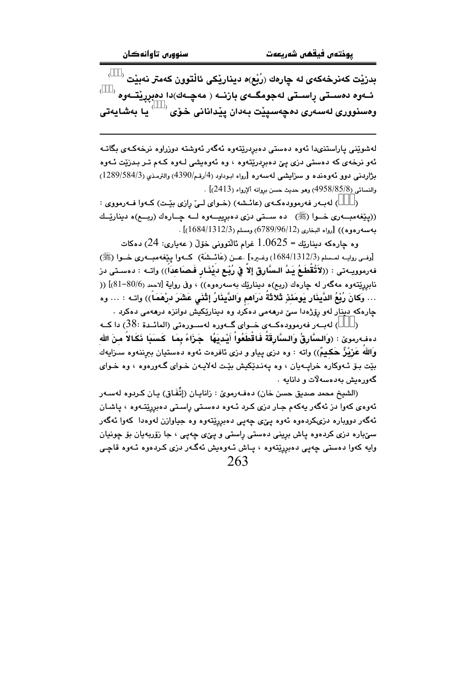$\overrightarrow{a}^{\prime}$ بدزيْت كەنرخەكەى لە چارەك (رُبْع)ە ديناريْكى ئالْتوون كەمتر نەبيْت ئــهوه دهســتى ڕاســتى لهجومگــهى بازنــه ( مهچــهك)دا دهبررێتــهوه <sup>(</sup> ومسنووری لەسەری دەچەسىيێت بەدان يێدانانی خۆی  $\langle\quad\rangle$ يا بەشايەتی

لەشوێنى پاراستنىدا ئەوە دەستى دەبردرێتەوە ئەگەر ئەوشتە دوزراوە نرخەكـەى بگاتـە ئەو نرخەي كە دەستى دزى يېّ دەبردرێتەوە ، وە ئەوەيشى لـەوە كـەم تـر بـدزێت ئـەوە بژاردنی دوو ئەوەندە و سزايشى لەسەرە [رواه ابوداود (4/رقم/4390) والترمذى (3/584/3) /  $[$ والنسائي (3/85/85/8) وهو حديث حسن بروانه ألإرواء (2413).

) لهبهر فهرمووده کهی (عائشه) (خوای لیّ رازی بیّت) کهوا فهرمووی :  $\lambda$ ((پێغهمبهری خــوا (ﷺ) ده ســتی دزی دهبرییــهوه لــه چــارهك (ربــع)ه دینارێــك بهسهرهوه)) [رواه البخاري (5/96/12) (789/96) ومسلم (1312/34/1312)] .

وه جارەكە دېنارێك $5=1.06$ غرام ئالتوونى خۆلّ ( عەبارى: 24) دەكات [وفسى روايــه لمــسلم (1312/3/1342) وغــيره] .عـــن (عَائـــشَة) كـــهوا يـيْغهمبـــهوري خـــوا (ﷺ) فهرموويــهتي : ((لأَتُقْطَـعُ يَـدُ الـسَّارِقِ إلاّ فِي رُبْـع ديْنَـار فَـصـَاعداً)) واتــه : دهسـتي در نابرريّتهوه مهگهر له چارهك (ربع)ه ديناريّك بهسهرهوه)) ، وفي رواية [لاحمد (80/6-81)] (( … وَكانَ رُبْعُ الدَّينَارِ يَومَئذٍ ثَلاثَةُ دَرَاهم وَالدَّينَارُ إِثْنَى عَشَرَ درْهَمَاً)) واتـه : … وه چارهکه دینار لهو رۆژهدا سێ درههمی دهکرد وه دینارێکیش دوانزه درههمی دهکرد .

لەب د فەرموودەكــەي خــواي گــەورە لەســورەتى (المائــدة :38) دا كــە ( دەفەرموێ : (وَالسَّارِقُ وَالسَّارِقَةُ فَاقْطَعُواْ أَيْدِيَهُا ۚ جَزَاءً بِمَا ۖ كَسَبَا نَكَالاً منَ الله وَاللَّه عَرْيْزٌ حَكيمٌ)) واته : وه دزى پياو و دزى ئافرەت ئەوە دەستيان بېرننەوە سىزايەك بيّت بـوّ ئـهوكاره خرابـهيان ، وه يهنـديّكيش بيّت لهلايـهن خـواى گـهورهوه ، وه خـواى گەورەيش بەدەسەلات و دانايە .

(الشيخ محمد صديق حسن خان) دەڧەرموێ : زانايـان (إتَّفَـاق) يـان كـردوه لەسـەر ئەوەي كەوا دز ئەگەر يەكەم جار دزى كـرد ئـەوە دەسـتى راسـتى دەبررێتـەوە ، ياشـان ئهگەر دووباره دزیکردەوە ئەوە پێی چەپی دەبریێتەوە وە جیاوازن لەوەدا كەوا ئەگەر سهٽباره دزي کردهوه پاش بږيني دهستي راستي و پـێي چهپي ، جا زۆربهيان بۆ چونيان وايه کهوا دهستي چهپي دهبرِپێتهوه ، پـاش ئـهوهيش ئهگـهر دزي کـردهوه ئـهوه قاچـي 263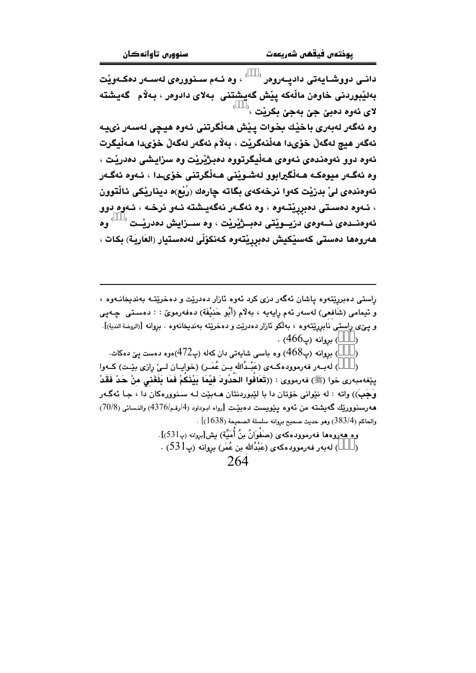دانــی دووشــایـهتی دادیــهروهر <sup>( \_\_\_)</sup> ، وه ئــهم ســنوور*هی* لـهســهر دهكــهویـّت بەلێبوردنى خاوەن ماڵەكە پێش گەيشتنى بەلاي دادوەر ، بەلام گەيشتە لاي ئەوە دەبىٰ جىٰ بەجىٰ بكريْت ،<sup>(</sup>

وه ئەگەر لەبەرى باخێك بخوات يێش ھەڵگرتنى ئەوه ھيچى لەسەر نىيە ئەگەر ھيچ لەگەڵ خۆىدا ھەڵنەگرێت ، بەلام ئەگەر لەگەڵ خۆىدا ھەڵيگرت ئەوە دوو ئەوەندەي ئەوەي ھەلْيگرتووە دەبىژىرىت وە سزايشى دەدريت ، وه ئەگـەر ميوەكـە ھـەڵگيرابوو لەشـوێنى ھـەڵگرتنى خۆىـدا ، ئـەوە ئەگـەر ئەوەندەي لىٰ بدرْيْت كەوا نرخەكەي بگاتە چارەك (رُبْع)ە ديناريْكى ئالْتوون ، ئــهوه دهسـتي دهبرريتــهوه ، وه ئهگــهر نهگهيــشته ئــهو نرخــه ، ئــهوه دوو ئەوەنــدەي ئــەوەي دزيــويْتى دەبــژيْريْت ، وە ســزايش دەدريْــت  $\langle\quad \rangle$ وە هەروەھا دەستى كەسێكيش دەبررێتەوە كەنكۆڵى لەدەستيار (العَارِيَة) بِكات ،

راستي دهبرريتهوه ياشان ئهگەر دزي كرد ئەوه ئازار دەدريت و دەخريتـه بەندىخانــەوە ، و ئيمامي (شَافعي) لهسهر ئهم رايهيه ، بهلاّم (أَبُو حَنيْفَة) دهفهرمويّ : : دهسـتي چـهيي و پـێی راستـی نابزریێتەوە ، بەلگو ئازار دەدرێت و دەخرێتە بەندىخانەوە . بروانە [(الروضة الندبة)].

- ) بروانه (پ466) .  $\lambda$
- بروانه (پ $468$ ) وه باسی شایهتی دان کهله (پ $(472$ )هوه دهست ییّ دهکات.  $\,$  $\mathcal{E}$

) لهب1ر فهرموودهكـهي (عَبْـدُالله بـن عُمَـر) (خوايـان لــيّ رِازي بيّـت) كــهوا  $\lambda$ يێفەمبەرى خوا (ﷺ) فەرمووى : ((تَعَافُوا الحُدُودَ فَيْمَا بَيْنَكُمْ فَمَا بَلَغَنى منْ حَدّ فَقَدْ وَجَبَ)) واته : له نێوانی خۆتان دا با لێبوردنتان مـهبێت لـه سـنوورهکان دا ، جـا ئهگـهر هەرسىنوورپّك گەيشتە من ئەوە يـێويست دەبێت [رواە ابـوداود (4/رقـم/4376) والنـسائى (70/8)  $\sim [ (1638)$  والحاكم (383/4) وهو حديث صحيح بروانه سلسلة الصحيحة (1638)

وه هەروەها فەرموودەكەي (صَغْوَانُ بنُ أُمَيَّة) بش[بروانه (پـ531)].

) لەبەر فەرموودەكەي (عَبْدُالله بن عُمَر) بروانە (پ $1$ 53) .  $\rightarrow$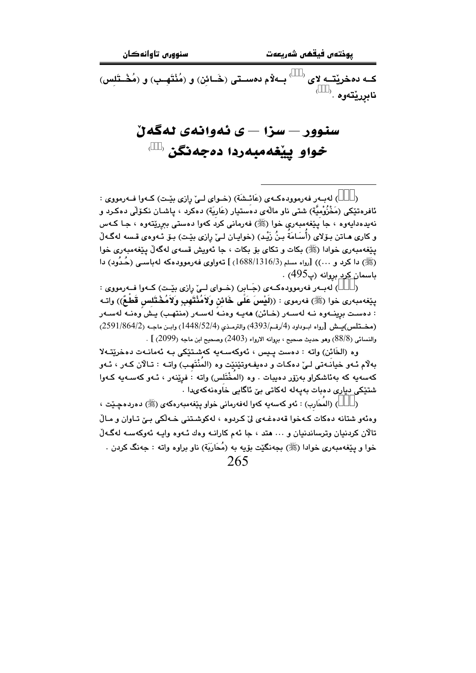کــه دهخريْتــه لاى <sup>‹ ‹</sup> بــهلاّم دهسـتي (خَــائن) و (مُنْتَهــب) و (مُخْــتَلس) نابړرێتەوە .`

## سنوور — سزا — ی ئەوانەی نەگەن خواو ييغهمبهردا دهجهنگن لا

) لەببەر فەرموودەكبەي (عَائىشَة) (خىواي لىيْ رازى بِيْت) كىەوا فىەرمووى :  $\lambda$ ئافرەتێِکى (مَخْزُوْمِيَّة) شتى ناو ماڵەي دەستيار (عَارِيَة) دەکرد ، ياشـان نکـۆلْي دەکـرد و نهيدهدايهوه ، جا پيغهمبهري خوا (ﷺ) فهرماني کرد کهوا دهستي ببرريتهوه ، جـا کـهس و كاري هـاتن بـوّلاي (أسـَامَة بـنُ زَيْـد) (خوايـان لـيّ رازي بيّـت) بـوّ ئـهوهي قـسه لهگـهلّ يێغەمبەرى خوادا (ﷺ) بكات و تكاي بۆ بكات ، جا ئەويش قسەي لەگەلْ يێغەمبەرى خوا (ﷺ) دا کرد و …)) [رواه مسلم (3/1316/138) ] تەواوى فەرموودەکە لەباسىي (حُدُود) دا باسمان کرد بروانه (پ495) .

) لهبار فهرمووده که ی (جَابر) (خوای لیّ رازی بیّت) کهوا فه رمووی :  $\rightarrow$ يێِغەمبەرى خوا (ﷺ) فەرموى : ((لَيْسَ عَلَى خَائن وَلاَمُنْتَهبِ وَلاَمُخْتَلس قَطعٌ)) واتـه : دەست برينــەوه نــه لەســەر (خـائن) ھەيــە وەنــه لەســەر (منتهـب) يـش وەنــه لەســەر (مضتلس)يـش [رواه ابـوداود (4/رقم/4393) والترمـذي (1448/52/4) وابـن ماجـه (2591/864/2) والنسائي (88/8) وهو حديث صحيح ، بروانه الارواء (2403) وصحيح ابن ماجه (2099) ] .

وه (الخَائن) واته : دەست پيس ، ئەوكەسەيە كەشتێكى بـه ئەمانـەت دەخرێتـەلا بهلّام ئـهو خيانـهتي لـيّ دهكـات و دهيفـهوتێنێت وه (المنْتَهب) واتـه : تـالآن كـهر ، ئـهو كەسەپە كە بەئاشكراو بەزۆر دەيبات . وە (المخْتَلس) واتە : فرێنەر ، ئـەو كەسـەپە كـەوا شتێکی دیاری دەبات بەپەلە لەکاتی بیّ ئاگایی خاوەنەکەیدا .

) (المحَارب) : ئەو كەسەبە كەوا لەفەرمانى خواو يێغەمبەرەكەي (ﷺ) دەردەچێت ،  $\Delta$ وهنَّهو شتانه دهكات كـهخوا قهدهغـهى ليِّ كـردوه ، لهكوشـتني خـهلَّكي بـِيِّ تـاوان و مـالّ تالان کردنیان وټرساندنیان و ۰۰۰ هتد ، جا ئهم کارانـه وهك ئـهوه وايـه ئهوكهسـه لهگـهلّ خوا و پێغهمبه٫ی خوادا (ﷺ) بجهنگێت بۆیه به (مُحَارَبَة) ناو براوه واته : جهنگ کردن . 265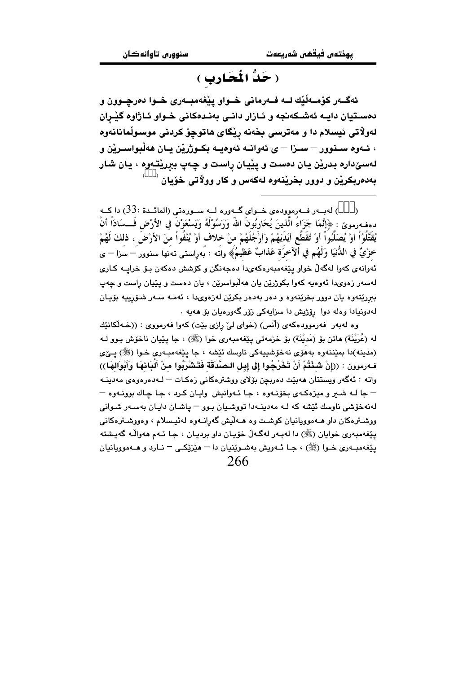## ( حَدُّ الْمَحَارِبِ )

ئهگــهر کۆمــهڵێك لــه فــهرماني خــواو يێغهمبــهري خــوا دەرچــوون و دهسـتيان دايـه ئەشـكەنجە و ئـازار دانـى بەنـدەكانى خـواو ئـاژاوه گێـران لەولاتى ئيسلام دا و مەترسى بخەنە ريكاي ھاتوچۆ كردنى موسولْمانانەوە ، ئــهوه ســنوور – ســزا – ي ئهوانــه ئهوهيــه بكــوژرێن يــان هەڵبواســرێن و لەسىٌدارە بدريْن يان دەست و يێيان راست و چەپ بېريٽقەوە ، يان شار بەدەربكرێن و دوور بخرێنەوە لەكەس و كار وولاتى خۆيان <sup>(</sup>

) لەيبەر فەرموۋدەي خىواي گىەورە لىە سىورەتى (المائىدة :33) دا كىە  $\lambda$ دهفه,مويِّ : ﴿إِنَّمَا جَزَاءُ الّْذِينَ يُحَارِبُونَ اللَّهُ وَرَسُوْلُهُ وَيَسْعَوْنَ فِي الأَرْضِ فَسسَادَاً أَنْ يُقَتَّلُوُاْ أَوْ يُصَلِّبُواْ أَوْ تُقَطَّع أَيْدَيَهُمْ وَأَرْجُلَهُمْ منْ خلاف أوْ يُنْفُواْ منَ الأرْضَ ، ذلكَ لَهُمْ خزْيٌ في الدُّنيَا وَلَهُم في أَلآخرَة عَذابٌ عَظيمُ﴾ واتَه : بُهراستي تهَنها سنوور – سَزا – ي ئەوإنەي كەو! لەگەڵ خواو يێغەمبەرەكەيدا دەجەنگن و كۆشش دەكەن يۆ خرابيە كـارى لهسهر زهویدا ئهوهیه کهوا بکوژرێن یان ههڵبواسرێن ، یان دهست و پێیان راست و چهپ ببرریتهوه یان دوور بخرینهوه و دهر بهدهر بکرین لهزهویدا ، ئهمـه سـهر شـۆرپیه بۆیـان لەدونيادا وەلە دوا رۆژيش دا سزايەكى زۆر گەورەيان بۆ ھەيە .

وه لهبهر فهرموودهکهي (أَنَس) (خواي ليّ رازي بيّت) کهوا فهرمووي : ((خـهڵکانێك له (عُرَيْنَة) ماتن بِقِ (مَديْنَة) بِقِ خزمه تي پِيْغهمبهري خوا (ﷺ) ، جا پِيْيان ناخوّش بـوو لـه (مدينه)دا بمێننەوه بەھۆي نەخۆشىيەكى ناوسك ئێشە ، جا يێغەمبەرى خـوا (ﷺ) يــێي فـهرموون : ((إنْ شَـنْتُمْ أَنْ تَخْرُجُوا إلى إبـل الـصَّدَقَة فَتَشْرَبُوا منْ أَلبَانهَا وَأَبْوَالهَا)) واته : ئەگەر ويستتان ھەبێت دەربچن بۆلاى ووشترەكانى زەكـات — لـەدەرەوەى مەدينــە – جا لـه شــر و ميزهكـهي بخوّنـهوه ، جـا ئـهوانيش ِ واپـان كـرد ، جـا چـاك بوونـهوه – لەنەخۆشى ناوسك ئێشە كە لـە مەدىنــەدا تووشىيان بـوو – ياشـان دايـان بەسـەر شىوانى ووشــترهکان داو هــهموویانیان کوشــت وه هــهڵیش گهرانــهوه لهئیــسلام ، وهووشــترهکانـی يٽِغەمبەرى خوايان (ﷺ) دا لەبـەر لەگـەڵ خۆپـان داو برديـان ، جـا ئـەم ھەواڵـە گەيـشتە پێغهمبـهري خــوا (ﷺ) ، جـا ئــهويش بهشــوێنيان دا – هێزێِکــي – نــارد و هــهموويانيان 266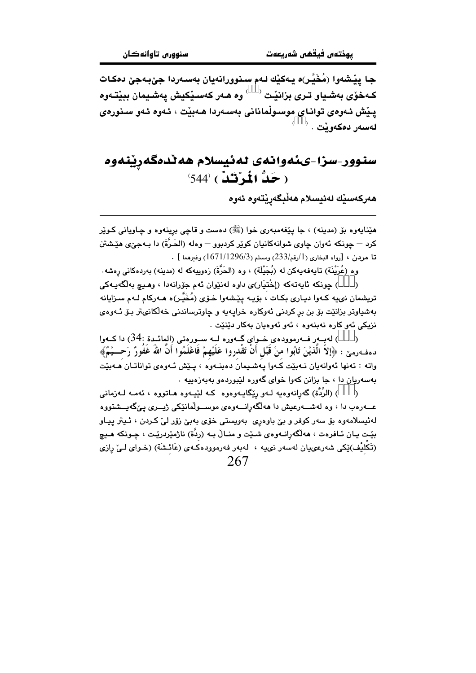جا يێشەوا (مُخَيَّـر)ە يـەكێك لـەم سـنوورانەيان بەسـەردا جێبەجێ دەكـات كـهخوّي بهشياو تـري بزانيّت <sup>( \_\_)</sup> وه هـهر كهسـيّكيش يهشـيمان ببيّتـهوه پێش ئەوەي تواناي موسىوڵمانانى بەسەردا ھەبێت ، ئەوە ئەو سىنورەي لەسەر دەكەو ٽت . <sup>(</sup>

#### سنوور-سزا-يئهوانهي لهئيسلام هه ٽدمگهرينهوه  $(544^\circ)$ رْكَدًّ )  $(544^\circ)$

ھەركەسێك لەئيسلام ھەڵبگەرێتەوە ئەوە

هێنايهوه بۆ (مدينه) ، جا يێغهمبەرى خوا (ﷺ) دەست و قاچى برينەوه و چـاويانى كـوێر كرد – جونكه ئەوان جاوي شوانەكانيان كوير كردېوو – وەلە (الحَرَّةَ) دا بـەجىِّي ھێشتن . [الرواء البخاري (1/رقم/233) ومسلم (1/1296/1671) وغيرهما [

وه (عُرَيْنَة) تايەفەيەكن لە (بُجَيْلَة) ، وه (الحَرَّةَ) زەوپيەكە لە (مدينە) بەردەكانى رەشە.

) جونکه ئابەتەکە (إخْتيَار)ي داوە لەنئوان ئەم جۆرانەدا ، وھىچ بەلگەپبەکى تریشمان نىيه كـهوا دیـارى بكـات ، بۆیـه یێشهوا خـۆى (مُخَيَّـر)ه هـهركام لـهم سـزايانه بهشیاوتر بزانێت بۆ بن بر کردنی ئەوکارە خراپەيە و چاوترساندنی خەلکانىتر بىۆ ئـەوەي نزيکي ئەوكارە نەبنەوە ، ئەو ئەوەيان بەكار دێنێت .

) لهبـهر فـهرموودهى خـواى گـهوره لـه سـورهتى (المائـدة :34) دا كـهوا  $\lambda$ دهفهرمني : ﴿إِلَّا الَّذِيْنَ تَابُوا منْ قَبْلِ أَنْ تَقْدروا عَلَيْهِمْ فَاعْلَمُوا أَنَّ اللَّهَ غَفُورٌ رَحـــيْمٌ﴾ واته : تەنھا ئەوانەيان نـەبێت كـەوا پـەشـيمان دەبنــەوە ، پـێش ئـەوەى تواناتـان ھــەبێت بهسهریان دا ، جا بزانن کهوا خوای گهوره لێبوردهو بهبهزهییه .

) (الرُّدَّة) گەرِانەوەيە لــەو رِيْگايــەوەوە كــە لَيْيــەوە ھــاتووە ، ئـەمــە لــەزمانـى  $\lambda$ عـــهرهب دا ، وه لهشـــهرعیش دا ههڵگهرانــــهوهی موســـولْمانێکی ژیـــری یـێگهیـــشتووه لەئيسلامەوە بۆ سەر كوفر و بێ باوەرِی بەويستى خۆی بەبێ زۆر لێ كـردن ، ئـيتر پيـاو بێت ڀان ئـافرهت ، ههڵگەرانـهوهى شـێت و منـاڵ بـه (ردّة) ناژمێردرێـت ، چـونكه هـيـچ (تَكليْف)ێکي شەرعىميان لەسەر نىيە ، لەبەر فەرموودەکـەي (عَائـشَة) (خـواي لــيْ رِازى 267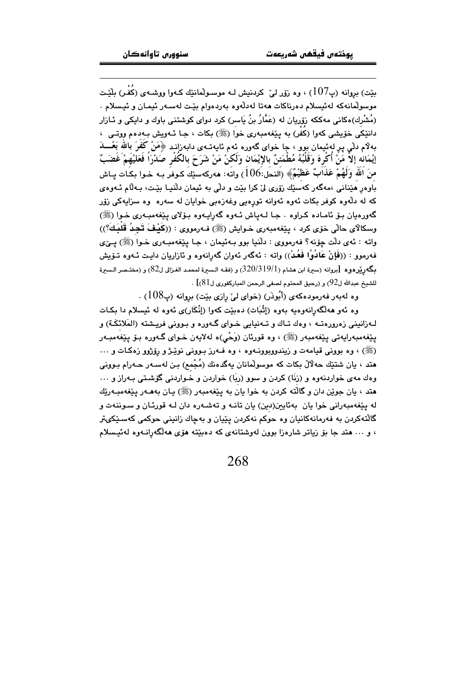بيّت) بروانه (پ $107$ ) ، وه زۆر ليّ كردنيش لـه موسـولّمانئك كـهوا ووشـهي (كَفَـر) بِلَيّـت موسولْمانەكە لەئيسلام دەرناكات ھەتا لەدلّەوە بەردەوام بێت لەسـەر ئيمـان و ئيـسلام . (مُشْرِك)هكانی مهككه زۆریان له (عَمَّارُ بنُ يَاسر) كرد دوای كوشتنی باوك و دایكی و ئــازار دانٽِکي خۆيشي کهوا (کُفْر) به پٽِغهمبهري خوا (ﷺ) بکات ، جـا ئـهويش بـهدهم ووتـي ، بهلام دلّٰی پرِ له ئیمان بوو ، جا خوای گەورە ئەم ئايەتــەی دابەزانـد ﴿مَنْ كَفَرَ بِاللّٰهَ بِعْـــدَ إِيْمَانِه إِلاَّ مَنْ أَكْرِهَ وَقَلْبُهُ مُطْمَئِنٌ بِالإِيْمَانِ وَلَكنْ مَنْ شَرَحَ بِالكُفْرِ صَدْرَاً فَعَليْهَمْ غَضَبٌّ مِنَ اللَّهِ وَلَهُمْ عَذَابٌ عَظِيْمٌ﴾ (النحل:106) واته: هەركەسێكَ كـوفر بـه خـوا بكـات يـاش باوهر هێنانی ،مەگەر كەسێك زۆرى لىٚكرا بێت و دلّى بە ئیمان دلّنیـا بێت، بـەلّام ئـەوەي که له دلَّهوه کوفر بکات ئهوه ئهوانه تورِهیی وغهزهبی خوایان له سهره وه سزایهکی زۆر گەورەيان بىق ئامادە كىراوە . جا لـەياش ئـەوە گەراپـەوە بىقلاي يېڭغەمبـەرى خـوا (ﷺ) وسكالاي حالّي خوّي كرد ، ينفهمبهري خـوايش (ﷺ) فـهرمووي : ((كَيْفَ تَجِدُ قُلْبَكَ؟)) واته : ئەي دلّت چۆنە؟ فەرمووى : دلّنيا بوو بـەئيمان ، جـا پێغەمبـەرى خـوا (ﷺ) پــێى فهرموو : ((فَإِنْ عَادُوُا فَعُدْ)) واته : ئەگەر ئەوان گەرِانەوە و ئازاريان دايـت ئــهوە تــۆيش بِكَهورِيْرِهوه [بروانه (سيرة ابن هشام (320/319/1) و (فقـه الـسيرة لمحمـد الغـزالي ل82) و (مختـصر الـسيرة  $\cdot$   $[81$ للشيخ عبدالله ل $92$ ) و (رحيق المحتوم لصفى الرحمن المباركفوري ل

وه لهبهر فهرمودهکهي (أَبُوذَر) (خواي ليِّ رازي بِيِّت) بروانه (پ $108$ ) .

وه ئەو ھەلگەرانەوەيە بەوە (إثْبَات) دەبێت كەوا (إنْكَار)ى ئەوە لە ئىسلام دا بكـات لـهزانيني زهرورهتـه ، وهك تـاك و تـهنيايي خـواي گـهوره و بـووني فريـشته (المَلائكَـة) و يێغەمبەرايەتى يێغەمبەر (ﷺ) ، وە قورئان (وَحْي)ە لەلايەن خـواي گـەورە بـۆ يێغەمبـەر (ﷺ) ، وه بووني قيامهت و زيندووبوونـهوه ، وه فـهرز بـووني نوێـژو روۆژوو زهكـات و … هند ، بان شتێك حهلالٌ بكات كه موسولْمانان بِهگدهنك (مُجْمع) بـن لهسـهر حـهرام بـوونى وهك مهى خواردنهوه و (زنّا) كردن و سوو (ربّا) خواردن و خـواردنى گۆشـتى بـهراز و ... هند ، يان جوێن دان و گالٽه کردن به خوا يان به پێغهمبهر (ﷺ) پـان بههـهر پێغهمبـهرێك له پێغهمبهرانی خوا یان بهئایین(دین) یان تانـه و تهشـهره دان لـه قورئـان و سـوننهت و گالّتهکردن به فهرمانهکانیان وه حوکم نهکردن یێیان و بهچاك زانینی حوکمی کهسـێکیتر ، و … هتد جا بۆ زياتر شارەزا بوون لەوشتانەي كە دەبێتە ھۆي ھەلگەرانــەوە لەئىـِسلام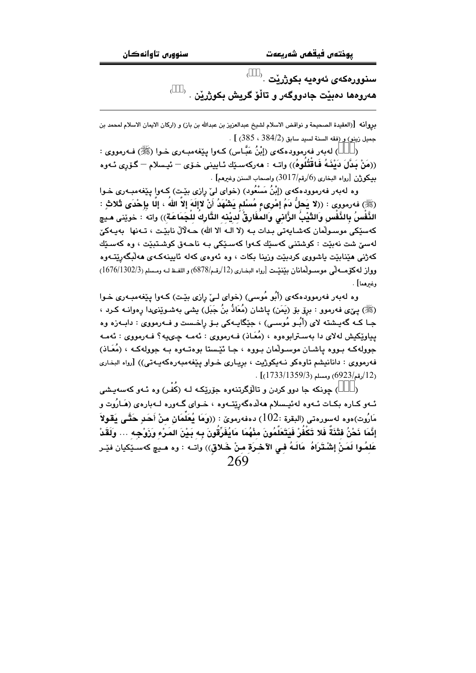سنوورەكەي ئەوەيە بكوژرێت $\,$  .  $\,$ هەرومها دمېيْت جادووگەر و تاڵۆ گريش بكوژرێن .

بروانه [(العقيدة الصحيحة و نواقض الاسلام لشيخ عبدالعزيز بن عبدالله بن باز) و (اركان الايمان الاسلام لمحمد بن . [  $(385 \cdot 384/2)$ جميل زينو) و (فقه السنة لسيد سابق ( $(385 \cdot 384/2)$ 

) لەبەر فەرموودەكەي (إِبْنُ عَبَّـاس) كـەوا پێغەمبـەرى خـوا (ﷺ) فـەرمووى : ((مَنْ بَدَّلَ دَيْنَـهُ فَـاقْتُلُوهُ)) واتـه : هەركەسـێك ئـايينى خـۆى — ئيـسلام — گـۆرى ئـەوه  $\sim$ بيكوژن  $\,$ رواه البخارى (6/رقم/3017) واصحاب السنن وغيرهم] .

وه لهبهر فهرموودهکهی (إِبْنُ مَسْعُود) (خوای لیٌ رِازی بیّت) کـهوا پی٘فهمبـهری خـوا (ﷺ) فەرمورى : ((لا يَحلُّ دَمُ إِمْرِيءٍ مُسْلم يَشْهَدُ أَنْ لاإِلَهَ إِلاَّ اللهُ ، إِلَّا بِإِحْدَى ثَلاثٍ : الذَّفْسُ بِالذَّفْسِ وَالثَّيْبُ الزَّانى وَالمُفَارِقُ لُديْنه التَّارِكُ للْجَمَاعَة)) واته : خوي٘نى مـيچ كەسێكى موسىولّمان كەشـايەتى بـدات بـه (لا الـه الا الله) حــهڵالٌ نابێت ، تــەنها بەيـەكێ لەسىٰ شت نەبێت : كوشتنى كەسێك كـەوا كەسـێكى بـە ناھـەق كوشـتبێت ، وە كەسـێك کەژنى مێنابێت ياشووى کردبێت وزينا بکات ، وە ئەوەي کەلە ئايينەکـەي مەلْبگەرێتـەوە وواز له كۆمسەلى موسىولمانان بينينت [رواه البخارى (12/رقم/6878) و اللفظ لـه ومـسلم (1676/1302/3) وغيرهما] .

وه لهبهر فهرموودهکهی (أَبُو مُوسى) (خوای لـیٌ رازی بیّـت) کـهوا پیّغهمبـهری خـوا (ﷺ) یـنی، فـهـرموو : بـرِفِی بنی (یَمَن) پـاشان (مُعَاذُ بنُ جَبَل) یشمی بـهشــوێنىدا ڕەوانــه کــرد ، جـا کــه گهیـشته لای (أَبُــو مُوســی) ، جێگایــهکی بــوّ راِخــست و فــه٫رمووی : دابــهزه وه يياوێکيش لهلای دا بهسترابوهوه ، (مُعَـاذ) فــهرمووی : ئـهمـه چـىيـه؟ فــهرمووی : ئـهمـه جوولهکـه بـووه ياشـان موسـولّمان بـووه ، جـا ئێـستا بوهتـهوه بـه جوولهکـه ، (مُعَـاذ) فهرمووی : دانانیشم تاوهکو نـهیکوژیت ، بریاری خـواو ییّغهمبهرهکهیـهتی)) [رواه البخاری  $(1733/1359/3)$ رقم/6923) ومسلم (1359/3).

) جونکه جا دوو کردن و تالُوُگرتنهوه جوَرِيْکه لـه (کُفْر) وه ئـهو کهسهبـشي ئـهو كـاره بكـات ئـهوه لهئيـسلام ههڵدهگهرێتـهوه ، خـواي گـهوره لــهبارهي (هَـارُوت و مَارُوت)ەوە لەسورەتى (البقرة :102) دەفەرمويٰ : ((وَمَا يُعَلِّمَان منْ أَحَدٍ حَتَّـى بَقَولاً ۖ إِنَّمَا نَحْنُ فَتْنَةٌ فَلا تَكْفُرْ فَيَتَعَلَّمُونَ مِنْهُمَا مَايُفَرِّقُونَ بِه بَيْنَ المَرْءِ وَزَوْجِهِ … وَلَقَدْ عَلمُوا لَمَنْ إِشْتَرَاهُ ۖ مَالَـهُ فـى الآخـرَة مـنْ خَـلاق)) واتــه : وه مــيچ كهسـێكيان فێـر 269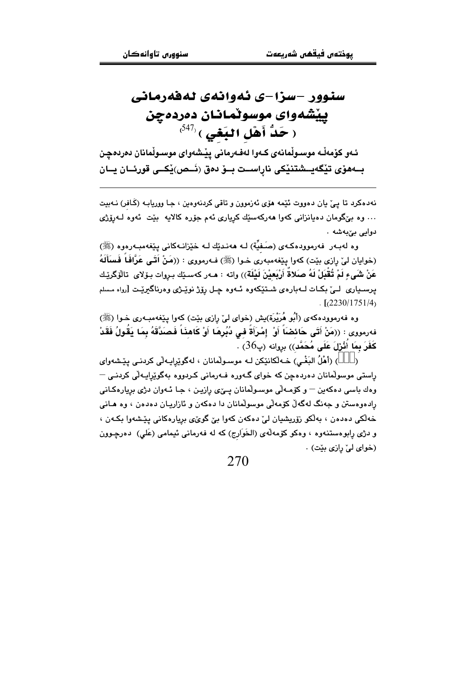## سنوور -سزا-ی ئەوانەی لەقەرمانی يينشهواي موسولمانان دهردهچن  $^{(547)}$ ( حَدُّ أَهْلِ الْبَغَى )

ئـهو كۆمەڵـه موسـوڵمانـهى كـهوا لـهفـهرمانى يێـشـهواى موسـوڵمانان دەردەچـن بــهفرّي تێڲەيــشتنێكي ناراســت بــوّ دەق (نَــص)ێكــي قورئــان يــان

نهدهکرد تا يئ يان دهووت ئێمه هۆي ئەزموون و تاقى کردنەوەين ، جا ووريابـه (كَـافر) نــهبيت … وه بێگومان دهيانزاني کهوا ههرکهسێك کرياري ئهم جۆره کالايه بێت ئهوه لــهرۆژي دوايي بي به شه.

وه لهبـهر فهرموودهكـهى (صَـفيِّة) لـه ههندێك لـه خێزانـهكانى پێغهمبـهرهوه (ﷺ) (خوايان ليٌ رِازي بيّت) كهوا پيّغهمبهري خـوا (ﷺ) فـهرمووي : ((مَنْ أَتَـي عَرَّافَماً فَسَأَلَهُ عَنْ شَيءٍ لَمْ تُقْبَلْ لَهُ صَلاةً أَرْبَعِيْنَ لَيْلَةٌ)) واته : هـﻪر كهسـێك بـروات بـۆلاى تالْۆگرێـك يرسىيارى لـيٌ بكـات لــهبارهى شـتێكەوه ئــهوه چـل رۆژ نوێـژى وەرناگيرێـت [رواه مـسلم  $L$ [ $(2230/1751/4)$ ]

وه فهرموودهکهی (أَبُو هُرَيْرة)يش (خوای ليِّ رازي بيِّت) کهوا پيِّغهمبـهري خـوا (ﷺ) فەرمورى : ((مَنْ أَتَى حَائضَاً أَوْ ۚ إِمْرَأَةٌ في دُبُرِهَا أَوْ كَاهِذَاً فَصَدَّقَهُ بِمَا يَقُولُ فَقَدْ  $\sim$  كَفَرَ بِمَا أُثْرْلَ عَلَى مُحَمَّد)) بروانه (پ $36$ ) .

) (أَهْلُ البَغْـي) خـﻪلْكانێِكن لـﻪ موسـولْمانان ، لهگوێرايـﻪلْي كردنـي يێشهواي راستی موسولْمانان دەردەچن کە خوای گـەورە فـەرمانی کـردووە بەگوێراپـەلْی کردنـی – وهك باسي دهكهين – وكۆمـهلّى موسـولّمانان يــِيّى رازيـِن ، جـا ئـهوان دژى بريارهكـانى رادهوهستن و جەنگ لەگەلْ كۆمەلّى موسولْمانان دا دەكەن و ئازاريـان دەدەن › وە ھـانى خەلكى دەدەن ، بەلكو زۆريشيان ليّ دەكەن كەوا بيّ گويٌى بريارەكانى يێشەوا بكەن ، و دژی رابوهستنهوه ، وهکو کۆمهڵهی (الخَوَارج) که له فهرمانی ئیمامی (عَلی) دهرچوون (خوای لیّ رازی بێت) .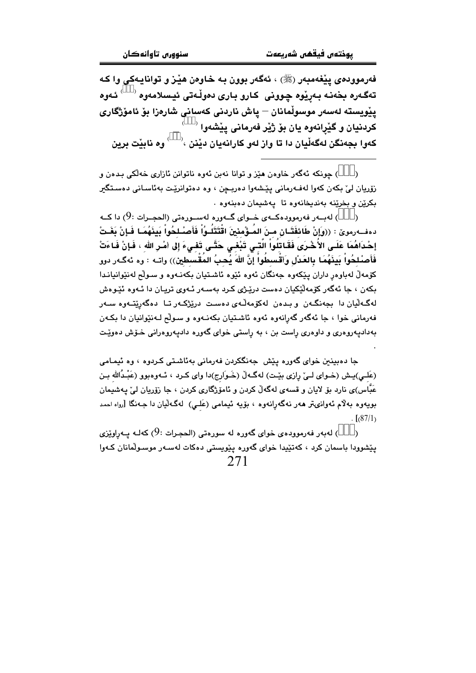فەرموودەى پێغەمبەر (ﷺ) ، ئەگەر بوون بە خاوەن ھێز و توانايەكى وا كە تەگەرە بخەنـﻪ بـﻪڕێوە چوونى كـﺎرو بـﺎرى دەوڵـﻪتى ئيـسـلامەوە <sup>‹ )</sup> ئـﻪوە پێویسته لەسەر موسوڵمانان – پاش ناردنی کەسانی شارەزا بۆ ئامۆژگار*ی* کردنيان و گێرانهوه يان بۆ ژێر فەرمانى يێشەوا <sup>(</sup> كەوا بجەنگن لەگەڵيان دا تا واز لەو كارانەيان دێنن <sup>، ( )</sup> وە نابێت برين

) جونکه ئهگەر خاوەن هێز و توانا نەبن ئەوە ناتوانن ئازارى خەلکى بىدەن و زۆريان لئ بكەن كەوا لەفـەرمانى يێشەوا دەريـچن ، وە دەتوانرێت بەئاسـانى دەسـتگىر بکريْن و بخريْنه بهنديخانهوه تا پهشيمان دهبنهوه .

لەب ر فەرموودەكــەي خــواي گــەورە لەســورەتى (الحجــرات :9) دا كــە ( دەفــەرموێ : ((واَإِنْ طَائفَتَـانِ مـنَ المُـؤْمِنينَ اقْتَتَلُـوُاْ فَأَصـٰـلحُواْ بِينَهُمَـا فَـإِنْ بَغَـتْ إحْدَاهُمَا عَلَـى الأُخْرَى فَقَاتِلُواْ الَّتِـي تَبْغِي حَتَّـى تَفِيءَ إِلى امْـرِ اللهِ ، فَإِنْ فَاءَتْ فَأَصْلِحُواْ بَينَهُمَا بِالعَدْلِ وَٱقْسطُواْ إِنَّ اللهَ يُحبُ المُقْسطينِ)) واتــه : وه ئهگـهر دوو كۆمەلّ لەباوەر داران يێكەوە جەنگان ئەوە ئێوە ئاشتيان بكەنـەوە و سـولْح لەنێوانيانـدا بکەن ، جا ئەگەر كۆمەلێكيان دەست درێـژى كـرد بەسـەر ئـەوى ترپـان دا ئـەوە ئێـوەش لەگەلّيان دا بجەنگـەن و بـدەن لەكۆمەلّـەي دەسـت درێژكـەر تــا دەگەرێتـەوە سـەر فهرماني خوا ، جا ئەگەر گەرانەوە ئەوە ئاشتيان بكەنـەوە و سـولْح لـەنێوانيان دا بكـەن بهدادیهروهری و داوهری راست بن ، به راستی خوای گهوره دادیهروهرانی خــۆش دهویـّـت

حا دەبىنىن خواي گەورە يێش جەنگكردن فەرمانى بەئاشتى كردوە ، وە ئيمامى (عَلـي)بـِـش (خـواي لـيِّ رازي بيِّـت) له گـه لْ (خَـوارج)دا واي كـرد ، ئـهوهبوو (عَبْـدُالله بـن عَبَّاس)ي نارڊ يۆ لايان و قسەي لەگەڵ كردن و ئامۆژگاري كردن › جا زۆريان ليّ پەشىمان بويەوە بەلام ئەوانىمتر ھەر نەگەرانەوە ، بۆيە ئېمامى (عَلـى) لەگـەلْيان دا جـەنگا [رواە احمد  $\frac{1}{6}$   $\frac{1}{87/1}$ 

) لەبەر فەرموودەي خواي گەورە لە سورەتى (الحجرات :9) كەلبە پيەراوێزى  $\lambda$ .<br>پێشوودا باسمان کرد ، کهتێیدا خوا*ی* گهوره پێویستی دهکات لهسـهر موسـولّمانان کـهوا 271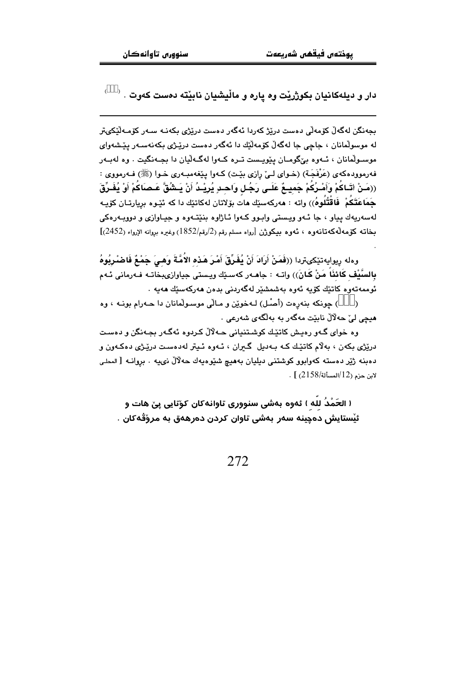$^{\circ}$  . دار و ديلهکانيان بکوژريْت وه ياره و ماڵيشيان نابێته دهست کهوت

بجەنگن لەگەلْ كۆمەلْي دەست دريْژ كەردا ئەگەر دەست دريْژى بكەنـە سـەر كۆمـەلْيْكىتر له موسولمانان ، جاجي جا لهگهلّ کۆمەلّیّك دا ئەگەر دەست دریّری بکەنەسـەر پیّشەوای موسـولْمانان ، ئـهوه بےْگومـان بِيْويـست تـره كـهوا لهگـهلّيان دا بجـهنگيت . وه لهبـهر فه رمووده که ی (عَرْفَجَـة) (خـوای لـیِّ رازی بێت) کـهوا پێغهمبـهری خـوا (ﷺ) فـهرمووی : ((مَنْ أَتَـاكُمْ وَأَمْـرُكُمْ جَمِيــمٌ عَلَــى رَجُـل وَاحـدِ يُرِيْــدُ أَنْ يَــشُقَّ عَـصَاكُمْ أَوْ يُفَـرِّقَ جَمَاعَتَكُمْ ۚ فَاقْتُلُوهُ)) واته : مەركەسێك مات بۆلاتان لەكاتێك دا كە ئێـوە بڕيارتـان كۆپـە لهسهريهك پياو ، جا ئـهو ويـستي وابـوو كـهوا ئـاژاوه بنێتـهوه و جيـاوازي و دووبـهرهكي بخاته كۆمەلەكەتانەوە ، ئەوە بېكوژن [رواه مسلم رقم (2/رقم/1852) وغيره بروانه الإرواء (2452)]

وهله ريوايهتێكىتردا ((فَمَنْ أَرَادَ أَنْ يُفَرِّقَ أَمْرَ هَذِه الأُمَّةَ وَهِيَ جَمْعٌ فَاضْرِيُوهُ بِالسَّيْفِ كَائِذَا مَنْ كَانَ)) واتـه : جاهـهر كهسـێك ويـستى جياوازىبخاتـه فـهرماني ئـهم ئوممەتەرە كاتٽك كۆپە ئەرە پەشىشتر لەگەردنى بدەن ھەركەستك ھەبە .

) چونکه بنهرهت (أصل) لـهخويْن و مـالّى موسـولْمانان دا حـهرام بونـه ، وه هيچي ليّ حه لالْ نابيّت مهگەر به بەلگەي شەرعى .

وه خواي گـهو رهيش کاتێك کوشـتنياني حـهلالٌ کـردوه ئهگـهر بجـهنگن و دهسـت دريڙي بکهن ، بهلام کاتێك کـه بـهدبل گـبران ، ئـهوه ئـبتر لهدهسـت درينـژي دهکـهون و دەبنە ژێر دەستە كەوابوو كوشتنى دېليان بەھيچ شێوەپەك حەلالٌ نىيە . بروانـە [الىملى  $\cdot$  [  $(2158/\mu)$ المسألة 2158) [

( الحَمْدُ لله ) ئەوە بەشى سنوورى تاوانەكان كۆتايى يىّ ھات و ئيْستايش دەچينە سەر بەشى تاوان كردن دەرھەق بە مرۆقەكان .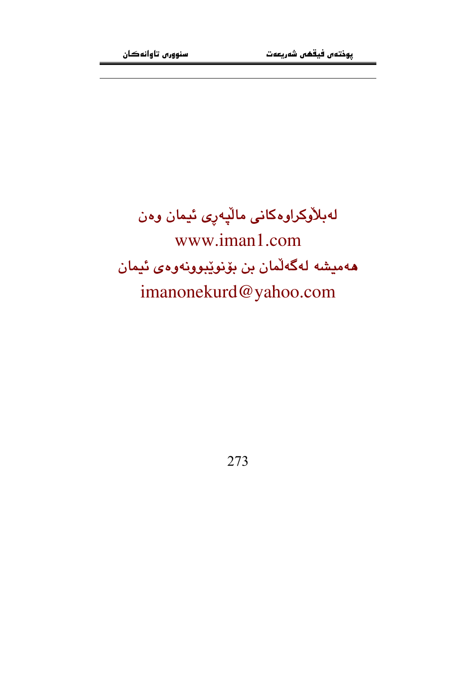# لەبلاّۈكراوەكانى مالّپەرى ئيمان وەن www.iman1.com هەمیشە لەگەلّمان بن بۆنوێبوونەوەي ئیمان imanonekurd@yahoo.com